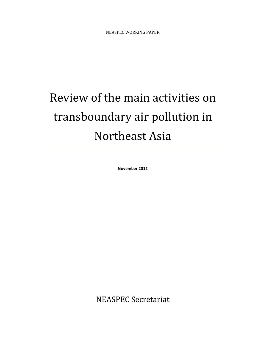# Review of the main activities on transboundary air pollution in Northeast Asia

November 2012

NEASPEC Secretariat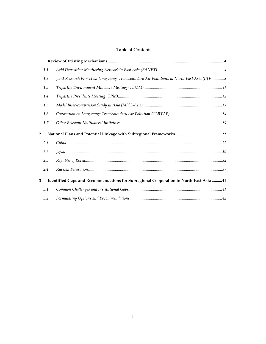#### Table of Contents

| $\mathbf{1}$   |     |                                                                                             |  |
|----------------|-----|---------------------------------------------------------------------------------------------|--|
|                | 1.1 |                                                                                             |  |
|                | 1.2 | Joint Research Project on Long-range Transboundary Air Pollutants in North-East Asia (LTP)8 |  |
|                | 1.3 |                                                                                             |  |
|                | 1.4 |                                                                                             |  |
|                | 1.5 |                                                                                             |  |
|                | 1.6 |                                                                                             |  |
|                | 1.7 |                                                                                             |  |
|                |     |                                                                                             |  |
| $\overline{2}$ |     |                                                                                             |  |
|                | 2.1 |                                                                                             |  |
|                | 2.2 |                                                                                             |  |
|                | 2.3 |                                                                                             |  |
|                | 2.4 |                                                                                             |  |
| 3              |     | Identified Gaps and Recommendations for Subregional Cooperation in North-East Asia 41       |  |
|                | 3.1 |                                                                                             |  |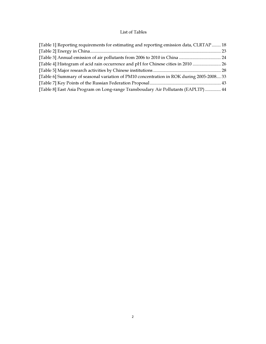# List of Tables

| [Table 1] Reporting requirements for estimating and reporting emission data, CLRTAP  18  |  |
|------------------------------------------------------------------------------------------|--|
|                                                                                          |  |
|                                                                                          |  |
| [Table 4] Histogram of acid rain occurrence and pH for Chinese cities in 2010  26        |  |
|                                                                                          |  |
| [Table 6] Summary of seasonal variation of PM10 concentration in ROK during 2005-2008 33 |  |
|                                                                                          |  |
| [Table 8] East Asia Program on Long-range Transboudary Air Pollutants (EAPLTP)  44       |  |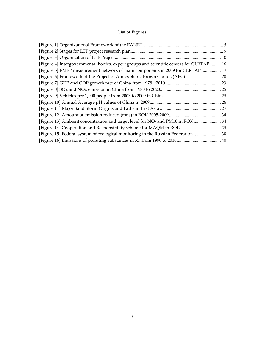# List of Figures

| [Figure 4] Intergovernmental bodies, expert groups and scientific centers for CLRTAP 16   |  |
|-------------------------------------------------------------------------------------------|--|
| [Figure 5] EMEP measurement network of main components in 2009 for CLRTAP  17             |  |
| [Figure 6] Framework of the Project of Atmospheric Brown Clouds (ABC)  20                 |  |
|                                                                                           |  |
|                                                                                           |  |
|                                                                                           |  |
|                                                                                           |  |
|                                                                                           |  |
|                                                                                           |  |
| [Figure 13] Ambient concentration and target level for NO <sub>2</sub> and PM10 in ROK 34 |  |
|                                                                                           |  |
| [Figure 15] Federal system of ecological monitoring in the Russian Federation  38         |  |
|                                                                                           |  |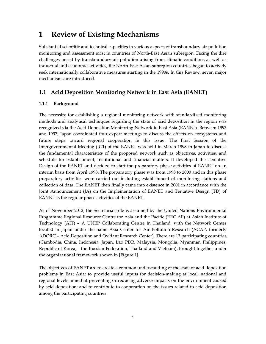# 1 Review of Existing Mechanisms

Substantial scientific and technical capacities in various aspects of transboundary air pollution monitoring and assessment exist in countries of North-East Asian subregion. Facing the dire challenges posed by transboundary air pollution arising from climatic conditions as well as industrial and economic activities, the North-East Asian subregion countries began to actively seek internationally collaborative measures starting in the 1990s. In this Review, seven major mechanisms are introduced.

# 1.1 Acid Deposition Monitoring Network in East Asia (EANET)

## 1.1.1 Background

The necessity for establishing a regional monitoring network with standardized monitoring methods and analytical techniques regarding the state of acid deposition in the region was recognized via the Acid Deposition Monitoring Network in East Asia (EANET). Between 1993 and 1997, Japan coordinated four expert meetings to discuss the effects on ecosystems and future steps toward regional cooperation in this issue. The First Session of the Intergovernmental Meeting (IG1) of the EANET was held in March 1998 in Japan to discuss the fundamental characteristics of the proposed network such as objectives, activities, and schedule for establishment, institutional and financial matters. It developed the Tentative Design of the EANET and decided to start the preparatory phase activities of EANET on an interim basis from April 1998. The preparatory phase was from 1998 to 2000 and in this phase preparatory activities were carried out including establishment of monitoring stations and collection of data. The EANET then finally came into existence in 2001 in accordance with the Joint Announcement (JA) on the Implementation of EANET and Tentative Design (TD) of EANET as the regular phase activities of the EANET.

As of November 2012, the Secretariat role is assumed by the United Nations Environmental Programme Regional Resource Centre for Asia and the Pacific (RRC.AP) at Asian Institute of Technology (AIT) – A UNEP Collaborating Centre in Thailand, with the Network Center located in Japan under the name Asia Center for Air Pollution Research (ACAP, formerly ADORC – Acid Deposition and Oxidant Research Center). There are 13 participating countries (Cambodia, China, Indonesia, Japan, Lao PDR, Malaysia, Mongolia, Myanmar, Philippines, Republic of Korea, the Russian Federation, Thailand and Vietnam), brought together under the organizational framework shown in [Figure 1].

The objectives of EANET are to create a common understanding of the state of acid deposition problems in East Asia; to provide useful inputs for decision-making at local, national and regional levels aimed at preventing or reducing adverse impacts on the environment caused by acid deposition; and to contribute to cooperation on the issues related to acid deposition among the participating countries.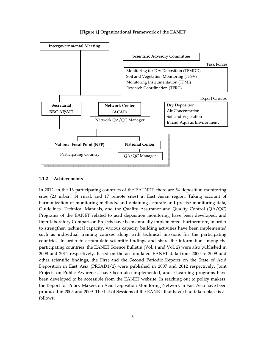



#### 1.1.2 Achievements

In 2012, in the 13 participating countries of the EATNET, there are 54 deposition monitoring sites (23 urban, 14 rural, and 17 remote sites) in East Asian region. Taking account of harmonization of monitoring methods, and obtaining accurate and precise monitoring data, Guidelines, Technical Manuals, and the Quality Assurance and Quality Control (QA/QC) Programs of the EANET related to acid deposition monitoring have been developed, and Inter-laboratory Comparison Projects have been annually implemented. Furthermore, in order to strengthen technical capacity, various capacity building activities have been implemented such as individual training courses along with technical missions for the participating countries. In order to accumulate scientific findings and share the information among the participating countries, the EANET Science Bulletin (Vol. 1 and Vol. 2) were also published in 2008 and 2011 respectively. Based on the accumulated EANET data from 2000 to 2009 and other scientific findings, the First and the Second Periodic Reports on the State of Acid Deposition in East Asia (PRSAD1/2) were published in 2007 and 2012 respectively. Joint Projects on Public Awareness have been also implemented, and e-Learning programs have been developed to be accessible from the EANET website. In reaching out to policy makers, the Report for Policy Makers on Acid Deposition Monitoring Network in East Asia have been produced in 2005 and 2009. The list of Sessions of the EANET that have/had taken place is as follows: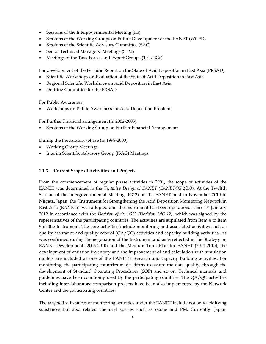- Sessions of the Intergovernmental Meeting (IG)
- Sessions of the Working Groups on Future Development of the EANET (WGFD)
- Sessions of the Scientific Advisory Committee (SAC)
- Senior Technical Managers' Meetings (STM)
- Meetings of the Task Forces and Expert Groups (TFs/EGs)

For development of the Periodic Report on the State of Acid Deposition in East Asia (PRSAD):

- Scientific Workshops on Evaluation of the State of Acid Deposition in East Asia
- Regional Scientific Workshops on Acid Deposition in East Asia
- Drafting Committee for the PRSAD

For Public Awareness:

• Workshops on Public Awareness for Acid Deposition Problems

For Further Financial arrangement (in 2002-2003):

• Sessions of the Working Group on Further Financial Arrangement

During the Preparatory-phase (in 1998-2000):

- Working Group Meetings
- Interim Scientific Advisory Group (ISAG) Meetings

#### 1.1.3 Current Scope of Activities and Projects

From the commencement of regular phase activities in 2001, the scope of activities of the EANET was determined in the *Tentative Design of EANET (EANET/IG 2/5/3)*. At the Twelfth Session of the Intergovernmental Meeting (IG12) on the EANET held in November 2010 in Niigata, Japan, the "Instrument for Strengthening the Acid Deposition Monitoring Network in East Asia (EANET)" was adopted and the Instrument has been operational since  $1<sup>st</sup>$  January 2012 in accordance with the *Decision of the IG12 (Decision 1/IG.12)*, which was signed by the representatives of the participating countries. The activities are stipulated from Item 4 to Item 9 of the Instrument. The core activities include monitoring and associated activities such as quality assurance and quality control  $(QA/QC)$  activities and capacity building activities. As was confirmed during the negotiation of the Instrument and as is reflected in the Strategy on EANET Development (2006-2010) and the Medium Term Plan for EANET (2011-2015), the development of emission inventory and the improvement of and calculation with simulation models are included as one of the EANET's research and capacity building activities. For monitoring, the participating countries made efforts to assure the data quality, through the development of Standard Operating Procedures (SOP) and so on. Technical manuals and guidelines have been commonly used by the participating countries. The  $QA/QC$  activities including inter-laboratory comparison projects have been also implemented by the Network Center and the participating countries.

The targeted substances of monitoring activities under the EANET include not only acidifying substances but also related chemical species such as ozone and PM. Currently, Japan,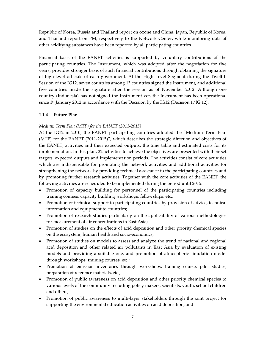Republic of Korea, Russia and Thailand report on ozone and China, Japan, Republic of Korea, and Thailand report on PM, respectively to the Network Center, while monitoring data of other acidifying substances have been reported by all participating countries.

Financial basis of the EANET activities is supported by voluntary contributions of the participating countries. The Instrument, which was adopted after the negotiation for five years, provides stronger basis of such financial contributions through obtaining the signature of high-level officials of each government. At the High Level Segment during the Twelfth Session of the IG12, seven countries among 13 countries signed the Instrument, and additional five countries made the signature after the session as of November 2012. Although one country (Indonesia) has not signed the Instrument yet, the Instrument has been operational since 1<sup>st</sup> January 2012 in accordance with the Decision by the IG12 (Decision  $1/IG.12$ ).

#### 1.1.4 Future Plan

#### *Medium Term Plan (MTP) for the EANET (2011-2015)*

At the IG12 in 2010, the EANET participating countries adopted the "Medium Term Plan (MTP) for the EANET (2011-2015)", which describes the strategic direction and objectives of the EANET, activities and their expected outputs, the time table and estimated costs for its implementation. In this plan, 22 activities to achieve the objectives are presented with their set targets, expected outputs and implementation periods. The activities consist of core activities which are indispensable for promoting the network activities and additional activities for strengthening the network by providing technical assistance to the participating countries and by promoting further research activities. Together with the core activities of the EANET, the following activities are scheduled to be implemented during the period until 2015:

- Promotion of capacity building for personnel of the participating countries including training courses, capacity building workshops, fellowships, etc.;
- Promotion of technical support to participating countries by provision of advice, technical information and equipment to countries;
- Promotion of research studies particularly on the applicability of various methodologies for measurement of air concentrations in East Asia;
- Promotion of studies on the effects of acid deposition and other priority chemical species on the ecosystem, human health and socio-economics;
- Promotion of studies on models to assess and analyze the trend of national and regional acid deposition and other related air pollutants in East Asia by evaluation of existing models and providing a suitable one, and promotion of atmospheric simulation model through workshops, training courses, etc.;
- Promotion of emission inventories through workshops, training course, pilot studies, preparation of reference materials, etc.;
- Promotion of public awareness on acid deposition and other priority chemical species to various levels of the community including policy makers, scientists, youth, school children and others;
- Promotion of public awareness to multi-layer stakeholders through the joint project for supporting the environmental education activities on acid deposition; and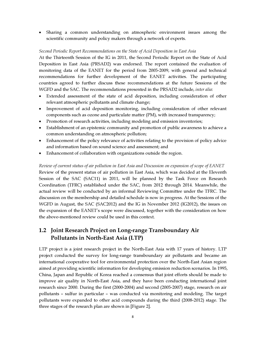• Sharing a common understanding on atmospheric environment issues among the scientific community and policy makers through a network of experts.

#### *Second Periodic Report Recommendations on the State of Acid Deposition in East Asia*

At the Thirteenth Session of the IG in 2011, the Second Periodic Report on the State of Acid Deposition in East Asia (PRSAD2) was endorsed. The report contained the evaluation of monitoring data of the EANET for the period from 2005-2009, with general and technical recommendations for further development of the EANET activities. The participating countries agreed to further discuss these recommendations at the future Sessions of the WGFD and the SAC. The recommendations presented in the PRSAD2 include, *inter alia*:

- Extended assessment of the state of acid deposition, including consideration of other relevant atmospheric pollutants and climate change;
- Improvement of acid deposition monitoring, including consideration of other relevant components such as ozone and particulate matter (PM), with increased transparency;
- Promotion of research activities, including modeling and emission inventories;
- Establishment of an epistemic community and promotion of public awareness to achieve a common understanding on atmospheric pollution;
- Enhancement of the policy relevance of activities relating to the provision of policy advice and information based on sound science and assessment; and
- Enhancement of collaboration with organizations outside the region.

*Review of current status of air pollution in East Asia and Discussion on expansion of scope of EANET*  Review of the present status of air pollution in East Asia, which was decided at the Eleventh Session of the SAC (SAC11) in 2011, will be planned by the Task Force on Research Coordination (TFRC) established under the SAC, from 2012 through 2014. Meanwhile, the actual review will be conducted by an informal Reviewing Committee under the TFRC. The discussion on the membership and detailed schedule is now in progress. At the Sessions of the WGFD in August, the SAC (SAC2012) and the IG in November 2012 (IG2012), the issues on the expansion of the EANET's scope were discussed, together with the consideration on how the above-mentioned review could be used in this context.

# 1.2 Joint Research Project on Long-range Transboundary Air Pollutants in North-East Asia (LTP)

LTP project is a joint research project in the North-East Asia with 17 years of history. LTP project conducted the survey for long-range transboundary air pollutants and became an international cooperative tool for environmental protection over the North-East Asian region aimed at providing scientific information for developing emission reduction scenarios. In 1995, China, Japan and Republic of Korea reached a consensus that joint efforts should be made to improve air quality in North-East Asia, and they have been conducting international joint research since 2000. During the first (2000-2004) and second (2005-2007) stage, research on air pollutants – sulfur in particular – was conducted via monitoring and modeling. The target pollutants were expanded to other acid compounds during the third (2008-2012) stage. The three stages of the research plan are shown in [Figure 2].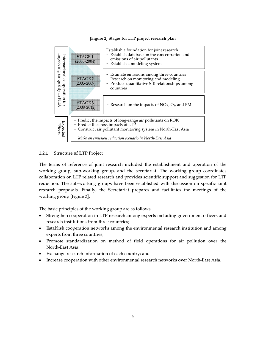#### [Figure 2] Stages for LTP project research plan



#### 1.2.1 Structure of LTP Project

The terms of reference of joint research included the establishment and operation of the working group, sub-working group, and the secretariat. The working group coordinates collaboration on LTP related research and provides scientific support and suggestion for LTP reduction. The sub-working groups have been established with discussion on specific joint research proposals. Finally, the Secretariat prepares and facilitates the meetings of the working group [Figure 3].

The basic principles of the working group are as follows:

- Strengthen cooperation in LTP research among experts including government officers and research institutions from three countries;
- Establish cooperation networks among the environmental research institution and among experts from three countries;
- Promote standardization on method of field operations for air pollution over the North-East Asia;
- Exchange research information of each country; and
- Increase cooperation with other environmental research networks over North-East Asia.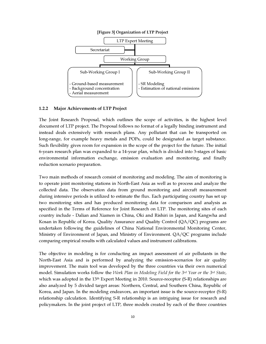

#### 1.2.2 Major Achievements of LTP Project

The Joint Research Proposal, which outlines the scope of activities, is the highest level document of LTP project. The Proposal follows no format of a legally binding instrument and instead deals extensively with research plans. Any pollutant that can be transported on long-range, for example heavy metals and POPs, could be designated as target substance. Such flexibility gives room for expansion in the scope of the project for the future. The initial 6-years research plan was expanded to a 14-year plan, which is divided into 3-stages of basic environmental information exchange, emission evaluation and monitoring, and finally reduction scenario preparation.

Two main methods of research consist of monitoring and modeling. The aim of monitoring is to operate joint monitoring stations in North-East Asia as well as to process and analyze the collected data. The observation data from ground monitoring and aircraft measurement during intensive periods is utilized to estimate the flux. Each participating country has set up two monitoring sites and has produced monitoring data for comparison and analysis as specified in the Terms of Reference for Joint Research on LTP. The monitoring sites of each country include - Dalian and Xiamen in China, Oki and Rishiri in Japan, and Kangwha and Kosan in Republic of Korea. Quality Assurance and Quality Control (QA/QC) programs are undertaken following the guidelines of China National Environmental Monitoring Center, Ministry of Environment of Japan, and Ministry of Environment. QA/QC programs include comparing empirical results with calculated values and instrument calibrations.

The objective in modeling is for conducting an impact assessment of air pollutants in the North-East Asia and is performed by analyzing the emission-scenarios for air quality improvement. The main tool was developed by the three countries via their own numerical model. Simulation works follow the *Work Plan in Modeling Field for the 3*rd *Year or the 3*rd *State*, which was adopted in the 13<sup>th</sup> Expert Meeting in 2010. Source-receptor (S-R) relationships are also analyzed by 5 divided target areas: Northern, Central, and Southern China, Republic of Korea, and Japan. In the modeling endeavors, an important issue is the source-receptor (S-R) relationship calculation. Identifying S-R relationship is an intriguing issue for research and policymakers. In the joint project of LTP, three models created by each of the three countries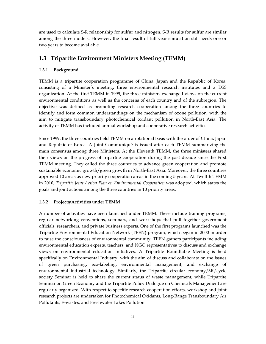are used to calculate S-R relationship for sulfur and nitrogen. S-R results for sulfur are similar among the three models. However, the final result of full year simulation still needs one or two years to become available.

# 1.3 Tripartite Environment Ministers Meeting (TEMM)

#### 1.3.1 Background

TEMM is a tripartite cooperation programme of China, Japan and the Republic of Korea, consisting of a Minister's meeting, three environmental research institutes and a DSS organization. At the first TEMM in 1999, the three ministers exchanged views on the current environmental conditions as well as the concerns of each country and of the subregion. The objective was defined as promoting research cooperation among the three countries to identify and form common understandings on the mechanism of ozone pollution, with the aim to mitigate transboundary photochemical oxidant pollution in North-East Asia. The activity of TEMM has included annual workshop and cooperative research activities.

Since 1999, the three countries held TEMM on a rotational basis with the order of China, Japan and Republic of Korea. A Joint Communiqué is issued after each TEMM summarizing the main consensus among three Ministers. At the Eleventh TEMM, the three ministers shared their views on the progress of tripartite cooperation during the past decade since the First TEMM meeting. They called the three countries to advance green cooperation and promote sustainable economic growth/green growth in North-East Asia. Moreover, the three countries approved 10 areas as new priority cooperation areas in the coming 5 years. At Twelfth TEMM in 2010, *Tripartite Joint Action Plan on Environmental Cooperation* was adopted, which states the goals and joint actions among the three countries in 10 priority areas.

#### 1.3.2 Projects/Activities under TEMM

A number of activities have been launched under TEMM. These include training programs, regular networking conventions, seminars, and workshops that pull together government officials, researchers, and private business experts. One of the first programs launched was the Tripartite Environmental Education Network (TEEN) program, which began in 2000 in order to raise the consciousness of environmental community. TEEN gathers participants including environmental education experts, teachers, and NGO representatives to discuss and exchange views on environmental education initiatives. A Tripartite Roundtable Meeting is held specifically on Environmental Industry, with the aim of discuss and collaborate on the issues of green purchasing, eco-labeling, environmental management, and exchange of environmental industrial technology. Similarly, the Tripartite circular economy/3R/cycle society Seminar is held to share the current status of waste management, while Tripartite Seminar on Green Economy and the Tripartite Policy Dialogue on Chemicals Management are regularly organized. With respect to specific research cooperation efforts, workshop and joint research projects are undertaken for Photochemical Oxidants, Long-Range Transboundary Air Pollutants, E-wastes, and Freshwater Lakes Pollution.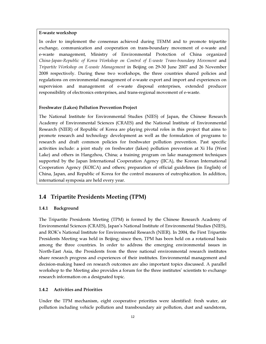#### E-waste workshop

In order to implement the consensus achieved during TEMM and to promote tripartite exchange, communication and cooperation on trans-boundary movement of e-waste and e-waste management, Ministry of Environmental Protection of China organized *China-Japan-Republic of Korea Workshop on Control of E-waste Trans-boundary Movement* and *Tripartite Workshop on E-waste Management* in Beijing on 29-30 June 2007 and 26 November 2008 respectively. During these two workshops, the three countries shared policies and regulations on environmental management of e-waste export and import and experiences on supervision and management of e-waste disposal enterprises, extended producer responsibility of electronics enterprises, and trans-regional movement of e-waste.

#### Freshwater (Lakes) Pollution Prevention Project

The National Institute for Environmental Studies (NIES) of Japan, the Chinese Research Academy of Environmental Sciences (CRAES) and the National Institute of Environmental Research (NIER) of Republic of Korea are playing pivotal roles in this project that aims to promote research and technology development as well as the formulation of programs to research and draft common policies for freshwater pollution prevention. Past specific activities include: a joint study on freshwater (lakes) pollution prevention at Xi Hu (West Lake) and others in Hangzhou, China; a training program on lake management techniques supported by the Japan International Cooperation Agency (JICA), the Korean International Cooperation Agency (KOICA) and others; preparation of official guidelines (in English) of China, Japan, and Republic of Korea for the control measures of eutrophication. In addition, international symposia are held every year.

# 1.4 Tripartite Presidents Meeting (TPM)

#### 1.4.1 Background

The Tripartite Presidents Meeting (TPM) is formed by the Chinese Research Academy of Environmental Sciences (CRAES), Japan's National Institute of Environmental Studies (NIES), and ROK's National Institute for Environmental Research (NIER). In 2004, the First Tripartite Presidents Meeting was held in Beijing; since then, TPM has been held on a rotational basis among the three countries. In order to address the emerging environmental issues in North-East Asia, the Presidents from the three national environmental research institutes share research progress and experiences of their institutes. Environmental management and decision-making based on research outcomes are also important topics discussed. A parallel workshop to the Meeting also provides a forum for the three institutes' scientists to exchange research information on a designated topic.

#### 1.4.2 Activities and Priorities

Under the TPM mechanism, eight cooperative priorities were identified: fresh water, air pollution including vehicle pollution and transboundary air pollution, dust and sandstorm,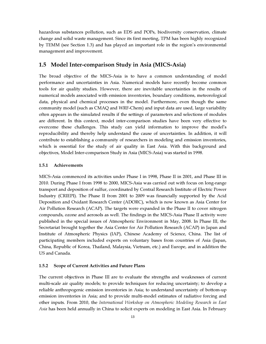hazardous substances pollution, such as EDS and POPs, biodiversity conservation, climate change and solid waste management. Since its first meeting, TPM has been highly recognized by TEMM (see Section 1.3) and has played an important role in the region's environmental management and improvement.

## 1.5 Model Inter-comparison Study in Asia (MICS-Asia)

The broad objective of the MICS-Asia is to have a common understanding of model performance and uncertainties in Asia. Numerical models have recently become common tools for air quality studies. However, there are inevitable uncertainties in the results of numerical models associated with emission inventories, boundary conditions, meteorological data, physical and chemical processes in the model. Furthermore, even though the same community model (such as CMAQ and WRF-Chem) and input data are used, large variability often appears in the simulated results if the settings of parameters and selections of modules are different. In this context, model inter-comparison studies have been very effective to overcome these challenges. This study can yield information to improve the model's reproducibility and thereby help understand the cause of uncertainties. In addition, it will contribute to establishing a community of researchers in modeling and emission inventories, which is essential for the study of air quality in East Asia. With this background and objectives, Model Inter-comparison Study in Asia (MICS-Asia) was started in 1998.

#### 1.5.1 Achievements

MICS-Asia commenced its activities under Phase I in 1998, Phase II in 2001, and Phase III in 2010. During Phase I from 1998 to 2000, MICS-Asia was carried out with focus on long-range transport and deposition of sulfur, coordinated by Central Research Institute of Electric Power Industry (CRIEPI). The Phase II from 2001 to 2009 was financially supported by the Acid Deposition and Oxidant Research Center (ADORC), which is now known as Asia Center for Air Pollution Research (ACAP). The targets were expanded in the Phase II to cover nitrogen compounds, ozone and aerosols as well. The findings in the MICS-Asia Phase II activity were published in the special issues of Atmospheric Environment in May, 2008. In Phase III, the Secretariat brought together the Asia Center for Air Pollution Research (ACAP) in Japan and Institute of Atmospheric Physics (IAP), Chinese Academy of Science, China. The list of participating members included experts on voluntary bases from countries of Asia (Japan, China, Republic of Korea, Thailand, Malaysia, Vietnam, etc.) and Europe, and in addition the US and Canada.

#### 1.5.2 Scope of Current Activities and Future Plans

The current objectives in Phase III are to evaluate the strengths and weaknesses of current multi-scale air quality models; to provide techniques for reducing uncertainty; to develop a reliable anthropogenic emission inventories in Asia; to understand uncertainty of bottom-up emission inventories in Asia; and to provide multi-model estimates of radiative forcing and other inputs. From 2010, the *International Workshop on Atmospheric Modeling Research in East Asia* has been held annually in China to solicit experts on modeling in East Asia. In February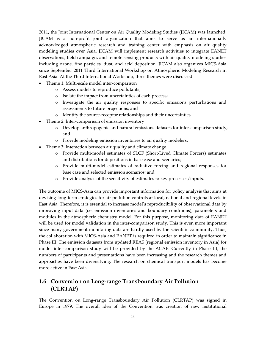2011, the Joint International Center on Air Quality Modeling Studies (JICAM) was launched. JICAM is a non-profit joint organization that aims to serve as an internationally acknowledged atmospheric research and training center with emphasis on air quality modeling studies over Asia. JICAM will implement research activities to integrate EANET observations, field campaign, and remote sensing products with air quality modeling studies including ozone, fine particles, dust, and acid deposition. JICAM also organizes MICS-Asia since September 2011 Third International Workshop on Atmospheric Modeling Research in East Asia. At the Third International Workshop, three themes were discussed:

- Theme 1: Multi-scale model inter-comparison
	- o Assess models to reproduce pollutants;
	- o Isolate the impact from uncertainties of each process;
	- o Investigate the air quality responses to specific emissions perturbations and assessments to future projections; and
	- o Identify the source-receptor relationships and their uncertainties.
- Theme 2: Inter-comparison of emission inventory
	- o Develop anthropogenic and natural emissions datasets for inter-comparison study; and
	- o Provide modeling emission inventories to air quality modelers.
- Theme 3: Interaction between air quality and climate change
	- o Provide multi-model estimates of SLCF (Short-Lived Climate Forcers) estimates and distributions for depositions in base case and scenarios;
	- o Provide multi-model estimates of radiative forcing and regional responses for base case and selected emission scenarios; and
	- o Provide analysis of the sensitivity of estimates to key processes/inputs.

The outcome of MICS-Asia can provide important information for policy analysis that aims at devising long-term strategies for air pollution controls at local, national and regional levels in East Asia. Therefore, it is essential to increase model's reproducibility of observational data by improving input data (i.e. emission inventories and boundary conditions), parameters and modules in the atmospheric chemistry model. For this purpose, monitoring data of EANET will be used for model validation in the inter-comparison study. This is even more important since many government monitoring data are hardly used by the scientific community. Thus, the collaboration with MICS-Asia and EANET is required in order to maintain significance in Phase III. The emission datasets from updated REAS (regional emission inventory in Asia) for model inter-comparison study will be provided by the ACAP. Currently in Phase III, the numbers of participants and presentations have been increasing and the research themes and approaches have been diversifying. The research on chemical transport models has become more active in East Asia.

# 1.6 Convention on Long-range Transboundary Air Pollution (CLRTAP)

The Convention on Long-range Transboundary Air Pollution (CLRTAP) was signed in Europe in 1979. The overall idea of the Convention was creation of new institutional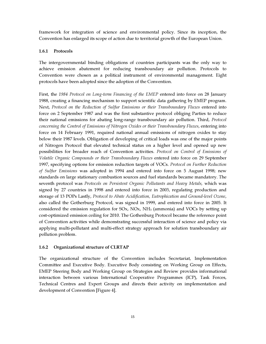framework for integration of science and environmental policy. Since its inception, the Convention has enlarged its scope of action due to territorial growth of the European Union.

#### 1.6.1 Protocols

The intergovernmental binding obligations of countries participants was the only way to achieve emission abatement for reducing transboundary air pollution. Protocols to Convention were chosen as a political instrument of environmental management. Eight protocols have been adopted since the adoption of the Convention.

First, the *1984 Protocol on Long-term Financing of the EMEP* entered into force on 28 January 1988, creating a financing mechanism to support scientific data gathering by EMEP program. Next, *Protocol on the Reduction of Sulfur Emissions or their Transboundary Fluxes* entered into force on 2 September 1987 and was the first substantive protocol obliging Parties to reduce their national emissions for abating long-range transboundary air pollution. Third, *Protocol concerning the Control of Emissions of Nitrogen Oxides or their Transboundary Fluxes*, entering into force on 14 February 1991, required national annual emissions of nitrogen oxides to stay below their 1987 levels. Obligation of developing of critical loads was one of the major points of Nitrogen Protocol that elevated technical status on a higher level and opened up new possibilities for broader reach of Convention activities. *Protocol on Control of Emissions of Volatile Organic Compounds or their Transboundary Fluxes* entered into force on 29 September 1997, specifying options for emission reduction targets of VOCs. *Protocol on Further Reduction of Sulfur Emissions* was adopted in 1994 and entered into force on 5 August 1998; new standards on large stationary combustion sources and fuel standards became mandatory. The seventh protocol was *Protocols on Persistent Organic Pollutants and Heavy Metals,* which was signed by 27 countries in 1998 and entered into force in 2003, regulating production and storage of 13 POPs Lastly, *Protocol to Abate Acidification, Eutrophication and Ground-level Ozone*, also called the Gotherburg Protocol, was signed in 1999, and entered into force in 2005. It considered the emission regulation for  $SOX$ ,  $NOX$ ,  $NH<sub>3</sub>$  (ammonia) and VOCs by setting up cost-optimized emission ceiling for 2010. The Gothenburg Protocol became the reference point of Convention activities while demonstrating successful interaction of science and policy via applying multi-pollutant and multi-effect strategy approach for solution transboundary air pollution problem.

#### 1.6.2 Organizational structure of CLRTAP

The organizational structure of the Convention includes Secretariat, Implementation Committee and Executive Body. Executive Body consisting on Working Group on Effects, EMEP Steering Body and Working Group on Strategies and Review provides informational interaction between various International Cooperative Programmes (ICP), Task Forces, Technical Centres and Expert Groups and directs their activity on implementation and development of Convention [Figure 4].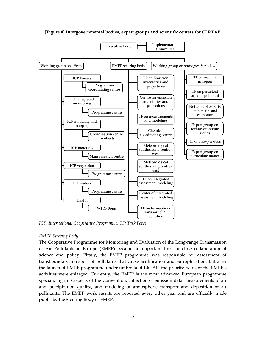

[Figure 4] Intergovernmental bodies, expert groups and scientific centers for CLRTAP

*ICP: International Cooperative Programme; TF: Task Force* 

#### *EMEP Steering Body*

The Cooperative Programme for Monitoring and Evaluation of the Long-range Transmission of Air Pollutants in Europe (EMEP) became an important link for close collaboration of science and policy. Firstly, the EMEP programme was responsible for assessment of transboundary transport of pollutants that cause acidification and eutrophication. But after the launch of EMEP programme under umbrella of LRTAP, the priority fields of the EMEP's activities were enlarged. Currently, the EMEP is the most advanced European programme specializing in 3 aspects of the Convention: collection of emission data, measurements of air and precipitation quality, and modeling of atmospheric transport and deposition of air pollutants. The EMEP work results are reported every other year and are officially made public by the Steering Body of EMEP.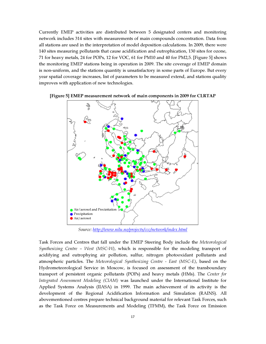Currently EMEP activities are distributed between 5 designated centers and monitoring network includes 314 sites with measurements of main compounds concentration. Data from all stations are used in the interpretation of model deposition calculations. In 2009, there were 140 sites measuring pollutants that cause acidification and eutrophication, 130 sites for ozone, 71 for heavy metals, 24 for POPs, 12 for VOC, 61 for PM10 and 40 for PM2,5. [Figure 5] shows the monitoring EMEP stations being in operation in 2009. The site coverage of EMEP domain is non-uniform, and the stations quantity is unsatisfactory in some parts of Europe. But every year spatial coverage increases, list of parameters to be measured extend, and stations quality improves with application of new technologies.



[Figure 5] EMEP measurement network of main components in 2009 for CLRTAP

*Source: http://www.nilu.no/projects/ccc/network/index.html*

Task Forces and Centres that fall under the EMEP Steering Body include the *Meteorological Synthesizing Centre – West (MSC-W)*, which is responsible for the modeling transport of acidifying and eutrophying air pollution, sulfur, nitrogen photooxidant pollutants and atmospheric particles. The *Meteorological Synthesizing Centre - East (MSC-E)*, based on the Hydrometeorological Service in Moscow, is focused on assessment of the transboundary transport of persistent organic pollutants (POPs) and heavy metals (HMs). The *Center for Integrated Assessment Modeling (CIAM)* was launched under the International Institute for Applied Systems Analysis (IIASA) in 1999. The main achievement of its activity is the development of the Regional Acidification Information and Simulation (RAINS). All abovementioned centres prepare technical background material for relevant Task Forces, such as the Task Force on Measurements and Modeling (TFMM), the Task Force on Emission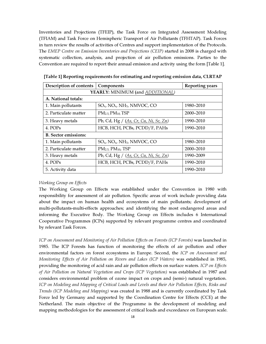Inventories and Projections (TFEIP), the Task Force on Integrated Assessment Modeling (TFIAM) and Task Force on Hemispheric Transport of Air Pollutants (TFHTAP). Task Forces in turn review the results of activities of Centres and support implementation of the Protocols. The *EMEP Centre on Emission Inventories and Projections (CEIP)* started in 2008 is charged with systematic collection, analysis, and projection of air pollution emissions. Parties to the Convention are required to report their annual emission and activity using the form [Table 1].

| Description of contents     | Components                                               | <b>Reporting years</b> |  |  |  |  |  |
|-----------------------------|----------------------------------------------------------|------------------------|--|--|--|--|--|
|                             | YEARLY: MINIMUM (and ADDITIONAL)                         |                        |  |  |  |  |  |
| A. National totals:         |                                                          |                        |  |  |  |  |  |
| 1. Main pollutants          | $SO_{x}$ , NO <sub>x</sub> , NH <sub>3</sub> , NMVOC, CO | 1980–2010              |  |  |  |  |  |
| 2. Particulate matter       | PM <sub>2.5</sub> PM <sub>10</sub> TSP                   | 2000-2010              |  |  |  |  |  |
| 3. Heavy metals             | Pb, Cd, Hg $/$ (As, Cr, Cu, Ni, Se, Zn)                  | 1990-2010              |  |  |  |  |  |
| 4. POPs                     | HCB, HCH, PCBs, PCDD/F, PAHs                             | 1990-2010              |  |  |  |  |  |
| <b>B.</b> Sector emissions: |                                                          |                        |  |  |  |  |  |
| 1. Main pollutants          | $SO_{x}$ , NO <sub>x</sub> , NH <sub>3</sub> , NMVOC, CO | 1980-2010              |  |  |  |  |  |
| 2. Particulate matter       | PM <sub>2.5</sub> PM <sub>10</sub> TSP                   | 2000-2010              |  |  |  |  |  |
| 3. Heavy metals             | Pb, Cd, Hg / $(As, Cr, Cu, Ni, Se, Zn)$                  | 1990-2009              |  |  |  |  |  |
| 4. POPs                     | HCB, HCH, PCBs, PCDD/F, PAHs                             | 1990-2010              |  |  |  |  |  |
| 5. Activity data            |                                                          | 1990-2010              |  |  |  |  |  |

[Table 1] Reporting requirements for estimating and reporting emission data, CLRTAP

#### *Working Group on Effects*

The Working Group on Effects was established under the Convention in 1980 with responsibility for assessment of air pollution. Specific areas of work include providing data about the impact on human health and ecosystems of main pollutants; development of multi-pollutants-multi-effects approaches; and identifying the most endangered areas and informing the Executive Body. The Working Group on Effects includes 6 International Cooperative Programmes (ICPs) supported by relevant programme centres and coordinated by relevant Task Forces.

*ICP on Assessment and Monitoring of Air Pollution Effects on Forests (ICP Forests)* was launched in 1985. The ICP Forests has function of monitoring the effects of air pollution and other environmental factors on forest ecosystems in Europe. Second, the *ICP on Assessment and Monitoring Effects of Air Pollution on Rivers and Lakes (ICP Waters)* was established in 1985, providing the monitoring of acid rain and air pollution effects on surface waters. *ICP on Effects of Air Pollution on Natural Vegetation and Crops (ICP Vegetation)* was established in 1987 and considers environmental problem of ozone impact on crops and (semi-) natural vegetation. *ICP on Modeling and Mapping of Critical Loads and Levels and their Air Pollution Effects, Risks and Trends (ICP Modeling and Mapping)* was created in 1988 and is currently coordinated by Task Force led by Germany and supported by the Coordination Centre for Effects (CCE) at the Netherland. The main objective of the Programme is the development of modeling and mapping methodologies for the assessment of critical loads and exceedance on European scale.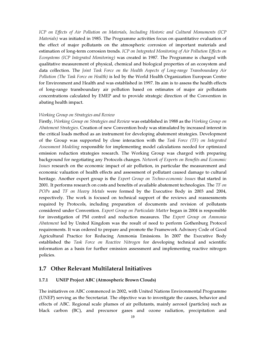*ICP on Effects of Air Pollution on Materials, Including Historic and Cultural Monuments (ICP Materials)* was initiated in 1985. The Programme activities focus on quantitative evaluation of the effect of major pollutants on the atmospheric corrosion of important materials and estimation of long-term corrosion trends. *ICP on Integrated Monitoring of Air Pollution Effects on Ecosystems (ICP Integrated Monitoring)* was created in 1987. The Programme is charged with qualitative measurement of physical, chemical and biological properties of an ecosystem and data collection. The *Joint Task Force on the Health Aspects of Long-range Transboundary Air Pollution (The Task Force on Health)* is led by the World Health Organization European Centre for Environment and Health and was established in 1997. Its aim is to assess the health effects of long-range transboundary air pollution based on estimates of major air pollutants concentrations calculated by EMEP and to provide strategic direction of the Convention in abating health impact.

#### *Working Group on Strategies and Review*

Firstly, *Working Group on Strategies and Review* was established in 1988 as the *Working Group on Abatement Strategies*. Creation of new Convention body was stimulated by increased interest in the critical loads method as an instrument for developing abatement strategies. Development of the Group was supported by close interaction with the *Task Force (TF) on Integrated Assessment Modeling* responsible for implementing model calculations needed for optimized emission reduction strategies research. The Working Group was charged with preparing background for negotiating any Protocols changes. *Network of Experts on Benefits and Economic Issues* research on the economic impact of air pollution, in particular the measurement and economic valuation of health effects and assessment of pollutant caused damage to cultural heritage. Another expert group is the *Expert Group on Techno-economic Issues* that started in 2001. It performs research on costs and benefits of available abatement technologies. The *TF on POPs* and *TF on Heavy Metals* were formed by the Executive Body in 2003 and 2004, respectively. The work is focused on technical support of the reviews and reassessments required by Protocols, including preparation of documents and revision of pollutants considered under Convention. *Expert Group on Particulate Matter* began in 2004 is responsible for investigation of PM control and reduction measures. The *Expert Group on Ammonia Abatement* led by United Kingdom was the result of need to perform Gothenburg Protocol requirements. It was ordered to prepare and promote the Framework Advisory Code of Good Agricultural Practice for Reducing Ammonia Emissions. In 2007 the Executive Body established the *Task Force on Reactive Nitrogen* for developing technical and scientific information as a basis for further emission assessment and implementing reactive nitrogen policies.

# 1.7 Other Relevant Multilateral Initiatives

#### 1.7.1 UNEP Project ABC (Atmospheric Brown Clouds)

The initiatives on ABC commenced in 2002, with United Nations Environmental Programme (UNEP) serving as the Secretariat. The objective was to investigate the causes, behavior and effects of ABC. Regional scale plumes of air pollutants, mainly aerosol (particles) such as black carbon (BC), and precursor gases and ozone radiation, precipitation and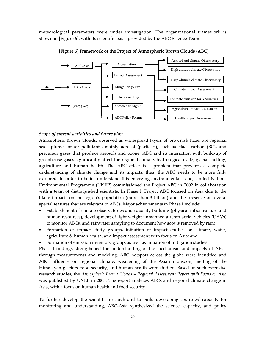meteorological parameters were under investigation. The organizational framework is shown in [Figure 6], with its scientific basis provided by the ABC Science Team.



[Figure 6] Framework of the Project of Atmospheric Brown Clouds (ABC)

#### Scope of current activities and future plan

Atmospheric Brown Clouds, observed as widespread layers of brownish haze, are regional scale plumes of air pollutants, mainly aerosol (particles), such as black carbon (BC), and precursor gases that produce aerosols and ozone. ABC and its interaction with build-up of greenhouse gases significantly affect the regional climate, hydrological cycle, glacial melting, agriculture and human health. The ABC effect is a problem that prevents a complete understanding of climate change and its impacts; thus, the ABC needs to be more fully explored. In order to better understand this emerging environmental issue, United Nations Environmental Programme (UNEP) commissioned the Project ABC in 2002 in collaboration with a team of distinguished scientists. In Phase I, Project ABC focused on Asia due to the likely impacts on the region's population (more than 3 billion) and the presence of several special features that are relevant to ABCs. Major achievements in Phase I include:

- Establishment of climate observatories and capacity building (physical infrastructure and human resources), development of light weight unmanned aircraft aerial vehicles (UAVs) to monitor ABCs, and rainwater sampling to document how soot is removed by rain;
- Formation of impact study groups, initiation of impact studies on climate, water, agriculture & human health, and impact assessment with focus on Asia; and

• Formation of emission inventory group, as well as initiation of mitigation studies.

Phase I findings strengthened the understanding of the mechanism and impacts of ABCs through measurements and modeling. ABC hotspots across the globe were identified and ABC influence on regional climate, weakening of the Asian monsoon, melting of the Himalayan glaciers, food security, and human health were studied. Based on such extensive research studies, the *Atmospheric Brown Clouds – Regional Assessment Report with Focus on Asia* was published by UNEP in 2008. The report analyzes ABCs and regional climate change in Asia, with a focus on human health and food security.

To further develop the scientific research and to build developing countries' capacity for monitoring and understanding, ABC-Asia synthesized the science, capacity, and policy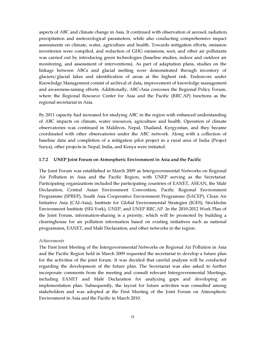aspects of ABC and climate change in Asia. It continued with observation of aerosol, radiation, precipitation and meteorological parameters, while also conducting comprehensive impact assessments on climate, water, agriculture and health. Towards mitigation efforts, emission inventories were compiled, and reduction of GHG emissions, soot, and other air pollutants was carried out by introducing green technologies (baseline studies, indoor and outdoor air monitoring, and assessment of interventions). As part of adaptation plans, studies on the linkage between ABCs and glacial melting were demonstrated through inventory of glaciers/glacial lakes and identification of areas at the highest risk. Endeavors under Knowledge Management consist of archival of data, improvement of knowledge management and awareness-raising efforts. Additionally, ABC-Asia convenes the Regional Policy Forum, where the Regional Resource Center for Asia and the Pacific (RRC.AP) functions as the regional secretariat in Asia.

By 2011 capacity had increased for studying ABC in the region with enhanced understanding of ABC impacts on climate, water resources, agriculture and health. Operation of climate observatories was continued in Maldives, Nepal, Thailand, Kyrgyzstan, and they became coordinated with other observatories under the ABC network. Along with a collection of baseline data and completion of a mitigation pilot project in a rural area of India (Project Surya), other projects in Nepal, India, and Kenya were initiated.

#### 1.7.2 UNEP Joint Forum on Atmospheric Environment in Asia and the Pacific

The Joint Forum was established in March 2009 as Intergovernmental Networks on Regional Air Pollution in Asia and the Pacific Region, with UNEP serving as the Secretariat. Participating organizations included the participating countries of EANET, ASEAN, the Malé Declaration, Central Asian Environment Convention, Pacific Regional Environment Programme (SPREP), South Asia Cooperative Environment Programme (SACEP), Clean Air Initiative Asia (CAI-Asia), Institute for Global Environmental Strategies (IGES), Stockholm Environment Institute (SEI-York), UNEP, and UNEP RRC.AP. In the 2010-2012 Work Plan of the Joint Forum, information-sharing is a priority, which will be promoted by building a clearinghouse for air pollution information based on existing initiatives such as national programmes, EANET, and Malé Declaration, and other networks in the region.

#### *Achievements*

The First Joint Meeting of the Intergovernmental Networks on Regional Air Pollution in Asia and the Pacific Region held in March 2009 requested the secretariat to develop a future plan for the activities of the joint forum. It was decided that careful analysis will be conducted regarding the development of the future plan. The Secretariat was also asked to further incorporate comments from the meeting and consult relevant Intergovernmental Meetings, including EANET and Malé Declaration for analyzing gaps and developing an implementation plan. Subsequently, the layout for future activities was consulted among stakeholders and was adopted at the First Meeting of the Joint Forum on Atmospheric Environment in Asia and the Pacific in March 2010.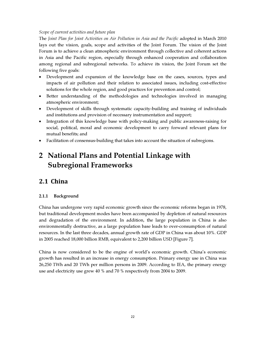# *Scope of current activities and future plan*

The *Joint Plan for Joint Activities on Air Pollution in Asia and the Pacific* adopted in March 2010 lays out the vision, goals, scope and activities of the Joint Forum. The vision of the Joint Forum is to achieve a clean atmospheric environment through collective and coherent actions in Asia and the Pacific region, especially through enhanced cooperation and collaboration among regional and subregional networks. To achieve its vision, the Joint Forum set the following five goals:

- Development and expansion of the knowledge base on the cases, sources, types and impacts of air pollution and their relation to associated issues, including cost-effective solutions for the whole region, and good practices for prevention and control;
- Better understanding of the methodologies and technologies involved in managing atmospheric environment;
- Development of skills through systematic capacity-building and training of individuals and institutions and provision of necessary instrumentation and support;
- Integration of this knowledge base with policy-making and public awareness-raising for social, political, moral and economic development to carry forward relevant plans for mutual benefits; and
- Facilitation of consensus-building that takes into account the situation of subregions.

# 2 National Plans and Potential Linkage with Subregional Frameworks

# 2.1 China

# 2.1.1 Background

China has undergone very rapid economic growth since the economic reforms began in 1978, but traditional development modes have been accompanied by depletion of natural resources and degradation of the environment. In addition, the large population in China is also environmentally destructive, as a large population base leads to over-consumption of natural resources. In the last three decades, annual growth rate of GDP in China was about 10%. GDP in 2005 reached 18,000 billion RMB, equivalent to 2,200 billion USD [Figure 7].

China is now considered to be the engine of world's economic growth. China's economic growth has resulted in an increase in energy consumption. Primary energy use in China was 26,250 TWh and 20 TWh per million persons in 2009. According to IEA, the primary energy use and electricity use grew 40 % and 70 % respectively from 2004 to 2009.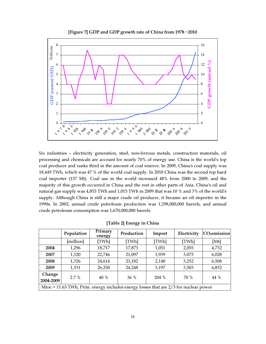

[Figure 7] GDP and GDP growth rate of China from 1978 ~2010

Six industries – electricity generation, steel, non-ferrous metals, construction materials, oil processing and chemicals are account for nearly 70% of energy use. China is the world's top coal producer and ranks third in the amount of coal reserve. In 2009, China's coal supply was 18,449 TWh, which was 47 % of the world coal supply. In 2010 China was the second top hard coal importer (157 Mt). Coal use in the world increased 48% from 2000 to 2009, and the majority of this growth occurred in China and the rest in other parts of Asia. China's oil and natural gas supply was 4,855 TWh and 1,015 TWh in 2009 that was 10 % and 3% of the world's supply. Although China is still a major crude oil producer, it became an oil importer in the 1990s. In 2002, annual crude petroleum production was 1,298,000,000 barrels, and annual crude petroleum consumption was 1,670,000,000 barrels.

|                                                                                        | Population | Primary<br>energy | Production | Import | Electricity | CO <sub>2</sub> emission |
|----------------------------------------------------------------------------------------|------------|-------------------|------------|--------|-------------|--------------------------|
|                                                                                        | [million]  | [TWh]             | [TWh]      | [TWh]  | [TWh]       | [ $Mt$ ]                 |
| 2004                                                                                   | 1,296      | 18,717            | 17,873     | 1,051  | 2,055       | 4,732                    |
| 2007                                                                                   | 1,320      | 22,746            | 21,097     | 1,939  | 3,073       | 6,028                    |
| 2008                                                                                   | 1,326      | 24,614            | 23,182     | 2,148  | 3,252       | 6,508                    |
| 2009                                                                                   | 1,331      | 26,250            | 24,248     | 3,197  | 3,503       | 6,832                    |
| Change<br>2.7%<br>70 %                                                                 |            |                   |            |        |             | 44 %                     |
| 2004-2009                                                                              |            | 40 %              | 36%        | 204 %  |             |                          |
| Mtoe = 11.63 TWh, Prim. energy includes energy losses that are $2/3$ for nuclear power |            |                   |            |        |             |                          |

[Table 2] Energy in China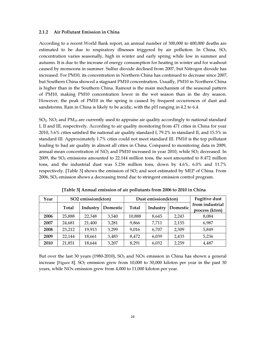#### 2.1.2 Air Pollutant Emission in China

According to a recent World Bank report, an annual number of 300,000 to 400,000 deaths are estimated to be due to respiratory illnesses triggered by air pollution. In China,  $SO_2$ concentration varies seasonally, high in winter and early spring while low in summer and autumn. It is due to the increase of energy consumption for heating in winter and for washout caused by monsoons in summer. Sulfur dioxide declined from 2007, but Nitrogen dioxide has increased. For PM10, its concentration in Northern China has continued to decrease since 2007, but Southern China showed a stagnant PM10 concentration. Usually, PM10 in Northern China is higher than in the Southern China. Rainout is the main mechanism of the seasonal pattern of PM10, making PM10 concentration lower in the wet season than in the dry season. However, the peak of PM10 in the spring is caused by frequent occurrences of dust and sandstorms. Rain in China is likely to be acidic, with the pH ranging in 4.2 to 6.4.

 $SO<sub>2</sub>$ , NO<sub>2</sub> and PM<sub>10</sub> are currently used to appraise air quality accordingly to national standard I, II and III, respectively. According to air quality monitoring from 471 cities in China for year 2010, 3.6% cities satisfied the national air quality standard I, 79.2% in standard II, and 15.5% in standard III. Approximately 1.7% cities could not meet standard III. PM10 is the top pollutant leading to bad air quality in almost all cities in China. Compared to monitoring data in 2009, annual mean concentration of  $NO<sub>2</sub>$  and PM10 increased in year 2010, while  $SO<sub>2</sub>$  decreased. In 2009, the  $SO<sub>2</sub>$  emissions amounted to 22.144 million tons, the soot amounted to 8.472 million tons, and the industrial dust was 5.236 million tons, down by 4.6%, 6.0% and 11.7% respectively. [Table 3] shows the emission of SO<sub>2</sub> and soot estimated by MEP of China. From  $2006$ ,  $SO<sub>2</sub>$  emission shows a decreasing trend due to stringent emission control program.

| Year | SO2 emission(kton) |          |          | Dust emission(kton) |          |          | <b>Fugitive dust</b>              |  |
|------|--------------------|----------|----------|---------------------|----------|----------|-----------------------------------|--|
|      | Total              | Industry | Domestic | Total               | Industry | Domestic | from industrial<br>process (kton) |  |
| 2006 | 25,888             | 22,348   | 3.540    | 10,888              | 8,645    | 2.243    | 8,084                             |  |
| 2007 | 24,681             | 21,400   | 3,281    | 9,866               | 7.711    | 2,155    | 6,987                             |  |
| 2008 | 23,212             | 19,913   | 3,299    | 9,016               | 6.707    | 2,309    | 5.849                             |  |
| 2009 | 22,144             | 18,661   | 3,483    | 8,472               | 6,039    | 2,433    | 5,236                             |  |
| 2010 | 21,851             | 18,644   | 3,207    | 8,291               | 6,032    | 2,259    | 4,487                             |  |

[Table 3] Annual emission of air pollutants from 2006 to 2010 in China

But over the last 30 years (1980-2010),  $SO<sub>2</sub>$  and NOx emission in China has shown a general increase [Figure 8].  $SO_2$  emission grew from 10,000 to 30,000 kiloton per year in the past 30 years, while NOx emission grew from 4,000 to 11,000 kiloton per year.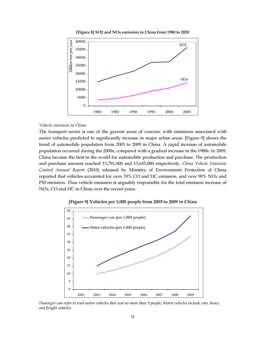

[Figure 8] SO2 and NOx emission in China from 1980 to 2020

#### *Vehicle emission in China*

The transport sector is one of the gravest areas of concern, with emissions associated with motor vehicles predicted to significantly increase in major urban areas. [Figure 9] shows the trend of automobile population from 2003 to 2009 in China. A rapid increase of automobile population occurred during the 2000s, compared with a gradual increase in the 1980s. In 2009, China became the first in the world for automobile production and purchase. The production and purchase amount reached 13,791,000 and 13,655,000 respectively. *China Vehicle Emission Control Annual Report* (2010) released by Ministry of Environment Protection of China reported that vehicles accounted for over 70% CO and HC emission, and over 90% NOx and PM emission. Thus vehicle emission is arguably responsible for the total emission increase of NOx, CO and HC in China over the recent years.



[Figure 9] Vehicles per 1,000 people from 2003 to 2009 in China

Passenger cars refer to road motor vehicles that seat no more than 9 people; Motor vehicles include cars, buses, and freight vehicles.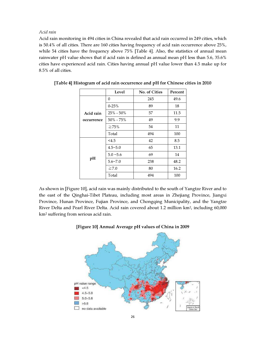*Acid rain* 

Acid rain monitoring in 494 cities in China revealed that acid rain occurred in 249 cities, which is 50.4% of all cities. There are 160 cities having frequency of acid rain occurrence above 25%, while 54 cities have the frequency above 75% [Table 4]. Also, the statistics of annual mean rainwater pH value shows that if acid rain is defined as annual mean pH less than 5.6, 35.6% cities have experienced acid rain. Cities having annual pH value lower than 4.5 make up for 8.5% of all cities.

|            | Level          | No. of Cities | Percent |
|------------|----------------|---------------|---------|
|            | 0              | 245           | 49.6    |
|            | $0 - 25%$      | 89            | 18      |
| Acid rain  | 25% - 50%      | 57            | 11.5    |
| occurrence | 50% - 75%      | 49            | 9.9     |
|            | $\geq 75\%$    | 54            | 11      |
|            | Total          | 494           | 100     |
|            | <4.5           | 42            | 8.5     |
|            | $4.5 - 5.0$    | 65            | 13.1    |
|            | $5.0 - 5.6$    | 69            | 14      |
| pH         | $5.6 \sim 7.0$ | 238           | 48.2    |
|            | $\geq 7.0$     | 80            | 16.2    |
|            | Total          | 494           | 100     |

| [Table 4] Histogram of acid rain occurrence and pH for Chinese cities in 2010 |  |  |  |  |
|-------------------------------------------------------------------------------|--|--|--|--|
|-------------------------------------------------------------------------------|--|--|--|--|

As shown in [Figure 10], acid rain was mainly distributed to the south of Yangtze River and to the east of the Qinghai-Tibet Plateau, including most areas in Zhejiang Province, Jiangxi Province, Hunan Province, Fujian Province, and Chongqing Municipality, and the Yangtze River Delta and Pearl River Delta. Acid rain covered about 1.2 million km<sup>2</sup>, including 60,000 km<sup>2</sup> suffering from serious acid rain.



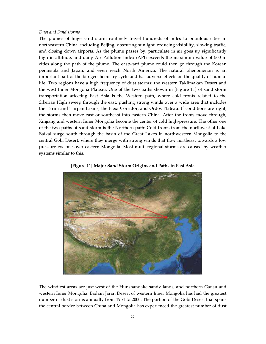#### *Dust and Sand storms*

The plumes of huge sand storm routinely travel hundreds of miles to populous cities in northeastern China, including Beijing, obscuring sunlight, reducing visibility, slowing traffic, and closing down airports. As the plume passes by, particulate in air goes up significantly high in altitude, and daily Air Pollution Index (API) exceeds the maximum value of 500 in cities along the path of the plume. The eastward plume could then go through the Korean peninsula and Japan, and even reach North America. The natural phenomenon is an important part of the bio-geochemistry cycle and has adverse effects on the quality of human life. Two regions have a high frequency of dust storms: the western Taklimakan Desert and the west Inner Mongolia Plateau. One of the two paths shown in [Figure 11] of sand storm transportation affecting East Asia is the Western path, where cold fronts related to the Siberian High sweep through the east, pushing strong winds over a wide area that includes the Tarim and Turpan basins, the Hexi Corridor, and Ordos Plateau. If conditions are right, the storms then move east or southeast into eastern China. After the fronts move through, Xinjiang and western Inner Mongolia become the center of cold high-pressure. The other one of the two paths of sand storm is the Northern path: Cold fronts from the northwest of Lake Baikal surge south through the basin of the Great Lakes in northwestern Mongolia to the central Gobi Desert, where they merge with strong winds that flow northeast towards a low pressure cyclone over eastern Mongolia. Most multi-regional storms are caused by weather systems similar to this.





The windiest areas are just west of the Hunshandake sandy lands, and northern Gansu and western Inner Mongolia. Badain Jaran Desert of western Inner Mongolia has had the greatest number of dust storms annually from 1954 to 2000. The portion of the Gobi Desert that spans the central border between China and Mongolia has experienced the greatest number of dust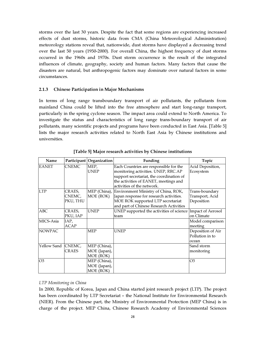storms over the last 30 years. Despite the fact that some regions are experiencing increased effects of dust storms, historic data from CMA (China Meteorological Administration) meteorology stations reveal that, nationwide, dust storms have displayed a decreasing trend over the last 50 years (1950-2000). For overall China, the highest frequency of dust storms occurred in the 1960s and 1970s. Dust storm occurrence is the result of the integrated influences of climate, geography, society and human factors. Many factors that cause the disasters are natural, but anthropogenic factors may dominate over natural factors in some circumstances.

#### 2.1.3 Chinese Participation in Major Mechanisms

In terms of long range transboundary transport of air pollutants, the pollutants from mainland China could be lifted into the free atmosphere and start long-range transport, particularly in the spring cyclone season. The impact area could extend to North America. To investigate the status and characteristics of long range trans-boundary transport of air pollutants, many scientific projects and programs have been conducted in East Asia. [Table 5] lists the major research activities related to North East Asia by Chinese institutions and universities.

| Name               |              | Participant Organization | Funding                                  | Topic                    |
|--------------------|--------------|--------------------------|------------------------------------------|--------------------------|
| <b>EANET</b>       | <b>CNEMC</b> | MEP,                     | Each Countries are responsible for the   | Acid Deposition,         |
|                    |              | <b>UNEP</b>              | monitoring activities. UNEP, RRC.AP      | Ecosystem                |
|                    |              |                          | support secretariat, the coordination of |                          |
|                    |              |                          | the activities of EANET, meetings and    |                          |
|                    |              |                          | activities of the network.               |                          |
| <b>LTP</b>         | CRAES,       | MEP (China),             | Environment Ministry of China, ROK,      | Trans-boundary           |
|                    | CNEMC,       | MOE (ROK)                | Japan response for research activities.  | Transport, Acid          |
|                    | PKU, THU     |                          | MOE ROK supported LTP secretariat        | Deposition               |
|                    |              |                          | and part of Chinese Research Activities  |                          |
| <b>ABC</b>         | CRAES,       | <b>UNEP</b>              | UNEP supported the activities of science | <b>Impact of Aerosol</b> |
|                    | PKU, IAP     |                          | team                                     | on Climate               |
| MICS-Asia          | IAP,         |                          |                                          | Model comparison         |
|                    | ACAP         |                          |                                          | meeting                  |
| <b>NOWPAC</b>      |              | <b>MEP</b>               | <b>UNEP</b>                              | Deposition of Air        |
|                    |              |                          |                                          | Pollution in to          |
|                    |              |                          |                                          | ocean                    |
| Yellow Sand CNEMC, |              | MEP (China),             |                                          | Sand storm               |
|                    | <b>CRAES</b> | MOE (Japan),             |                                          | monitoring               |
|                    |              | MOE (ROK)                |                                          |                          |
| O <sub>3</sub>     |              | MEP (China),             |                                          | O3                       |
|                    |              | MOE (Japan),             |                                          |                          |
|                    |              | MOE (ROK)                |                                          |                          |

[Table 5] Major research activities by Chinese institutions

#### *LTP Monitoring in China*

In 2000, Republic of Korea, Japan and China started joint research project (LTP). The project has been coordinated by LTP Secretariat – the National Institute for Environmental Research (NIER). From the Chinese part, the Ministry of Environmental Protection (MEP China) is in charge of the project. MEP China, Chinese Research Academy of Environmental Sciences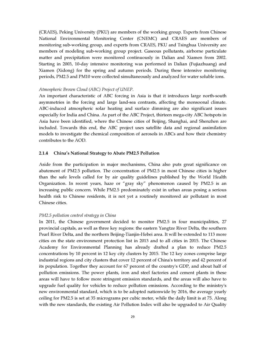(CRAES), Peking University (PKU) are members of the working group. Experts from Chinese National Environmental Monitoring Center (CNEMC) and CRAES are members of monitoring sub-working group, and experts from CRAES, PKU and Tsinghua University are members of modeling sub-working group project. Gaseous pollutants, airborne particulate matter and precipitation were monitored continuously in Dalian and Xiamen from 2002. Starting in 2003, 10-day intensive monitoring was performed in Dalian (Fujiazhuang) and Xiamen (Xidong) for the spring and autumn periods. During these intensive monitoring periods, PM2.5 and PM10 were collected simultaneously and analyzed for water soluble ions.

#### *Atmospheric Brown Cloud (ABC) Project of UNEP.*

An important characteristic of ABC forcing in Asia is that it introduces large north-south asymmetries in the forcing and large land-sea contrasts, affecting the monsoonal climate. ABC-induced atmospheric solar heating and surface dimming are also significant issues especially for India and China. As part of the ABC Project, thirteen mega-city ABC hotspots in Asia have been identified, where the Chinese cities of Beijing, Shanghai, and Shenzhen are included. Towards this end, the ABC project uses satellite data and regional assimilation models to investigate the chemical composition of aerosols in ABCs and how their chemistry contributes to the AOD.

#### 2.1.4 China's National Strategy to Abate PM2.5 Pollution

Aside from the participation in major mechanisms, China also puts great significance on abatement of PM2.5 pollution. The concentration of PM2.5 in most Chinese cities is higher than the safe levels called for by air quality guidelines published by the World Health Organization. In recent years, haze or "gray sky" phenomenon caused by PM2.5 is an increasing public concern. While PM2.5 predominately exist in urban areas posing a serious health risk to Chinese residents, it is not yet a routinely monitored air pollutant in most Chinese cities.

#### *PM2.5 pollution control strategy in China*

In 2011, the Chinese government decided to monitor PM2.5 in four municipalities, 27 provincial capitals, as well as three key regions: the eastern Yangtze River Delta, the southern Pearl River Delta, and the northern Beijing-Tianjin-Hebei area. It will be extended to 113 more cities on the state environment protection list in 2013 and to all cities in 2015. The Chinese Academy for Environmental Planning has already drafted a plan to reduce PM2.5 concentrations by 10 percent in 12 key city clusters by 2015. The 12 key zones comprise large industrial regions and city clusters that cover 12 percent of China's territory and 42 percent of its population. Together they account for 67 percent of the country's GDP, and about half of pollution emissions. The power plants, iron and steel factories and cement plants in these areas will have to follow more stringent emission standards, and the areas will also have to upgrade fuel quality for vehicles to reduce pollution emissions. According to the ministry's new environmental standard, which is to be adopted nationwide by 2016, the average yearly ceiling for PM2.5 is set at 35 micrograms per cubic meter, while the daily limit is at 75. Along with the new standards, the existing Air Pollution Index will also be upgraded to Air Quality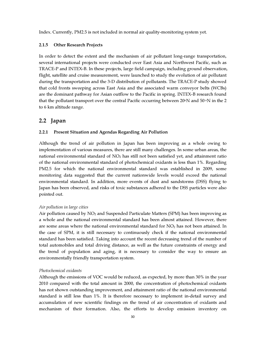Index. Currently, PM2.5 is not included in normal air quality-monitoring system yet.

#### 2.1.5 Other Research Projects

In order to detect the extent and the mechanism of air pollutant long-range transportation, several international projects were conducted over East Asia and Northwest Pacific, such as TRACE-P and INTEX-B. In these projects, large field campaign, including ground observation, flight, satellite and cruise measurement, were launched to study the evolution of air pollutant during the transportation and the 3-D distribution of pollutants. The TRACE-P study showed that cold fronts sweeping across East Asia and the associated warm conveyor belts (WCBs) are the dominant pathway for Asian outflow to the Pacific in spring. INTEX-B research found that the pollutant transport over the central Pacific occurring between 20 $\rm N$  and 50 $\rm N$  in the 2 to 6 km altitude range.

# 2.2 Japan

#### 2.2.1 Present Situation and Agendas Regarding Air Pollution

Although the trend of air pollution in Japan has been improving as a whole owing to implementation of various measures, there are still many challenges. In some urban areas, the national environmental standard of  $NO<sub>2</sub>$  has still not been satisfied yet, and attainment ratio of the national environmental standard of photochemical oxidants is less than 1%. Regarding PM2.5 for which the national environmental standard was established in 2009, some monitoring data suggested that the current nationwide levels would exceed the national environmental standard. In addition, more events of dust and sandstorms (DSS) flying to Japan has been observed, and risks of toxic substances adhered to the DSS particles were also pointed out.

#### *Air pollution in large cities*

Air pollution caused by NO<sub>2</sub> and Suspended Particulate Matters (SPM) has been improving as a whole and the national environmental standard has been almost attained. However, there are some areas where the national environmental standard for  $NO<sub>2</sub>$  has not been attained. In the case of SPM, it is still necessary to continuously check if the national environmental standard has been satisfied. Taking into account the recent decreasing trend of the number of total automobiles and total driving distance, as well as the future constraints of energy and the trend of population and aging, it is necessary to consider the way to ensure an environmentally friendly transportation system.

#### *Photochemical oxidants*

Although the emissions of VOC would be reduced, as expected, by more than 30% in the year 2010 compared with the total amount in 2000, the concentration of photochemical oxidants has not shown outstanding improvement, and attainment ratio of the national environmental standard is still less than 1%. It is therefore necessary to implement in-detail survey and accumulation of new scientific findings on the trend of air concentration of oxidants and mechanism of their formation. Also, the efforts to develop emission inventory on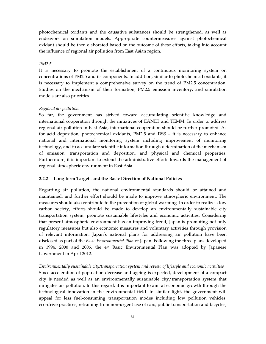photochemical oxidants and the causative substances should be strengthened, as well as endeavors on simulation models. Appropriate countermeasures against photochemical oxidant should be then elaborated based on the outcome of these efforts, taking into account the influence of regional air pollution from East Asian region.

#### *PM2.5*

It is necessary to promote the establishment of a continuous monitoring system on concentrations of PM2.5 and its components. In addition, similar to photochemical oxidants, it is necessary to implement a comprehensive survey on the trend of PM2.5 concentration. Studies on the mechanism of their formation, PM2.5 emission inventory, and simulation models are also priorities.

#### *Regional air pollution*

So far, the government has strived toward accumulating scientific knowledge and international cooperation through the initiatives of EANET and TEMM. In order to address regional air pollution in East Asia, international cooperation should be further promoted. As for acid deposition, photochemical oxidants, PM2.5 and DSS – it is necessary to enhance national and international monitoring system including improvement of monitoring technology, and to accumulate scientific information through determination of the mechanism of emission, transportation and deposition, and physical and chemical properties. Furthermore, it is important to extend the administrative efforts towards the management of regional atmospheric environment in East Asia.

#### 2.2.2 Long-term Targets and the Basic Direction of National Policies

Regarding air pollution, the national environmental standards should be attained and maintained, and further effort should be made to improve atmospheric environment. The measures should also contribute to the prevention of global warming. In order to realize a low carbon society, efforts should be made to develop an environmentally sustainable city transportation system, promote sustainable lifestyles and economic activities. Considering that present atmospheric environment has an improving trend, Japan is promoting not only regulatory measures but also economic measures and voluntary activities through provision of relevant information. Japan's national plans for addressing air pollution have been disclosed as part of the *Basic Environmental Plan* of Japan. Following the three plans developed in 1994, 2000 and 2006, the 4th Basic Environmental Plan was adopted by Japanese Government in April 2012.

*Environmentally sustainable city/transportation system and review of lifestyle and economic activities* Since acceleration of population decrease and ageing is expected, development of a compact city is needed as well as an environmentally sustainable city/transportation system that mitigates air pollution. In this regard, it is important to aim at economic growth through the technological innovation in the environmental field. In similar light, the government will appeal for less fuel-consuming transportation modes including low pollution vehicles, eco-drive practices, refraining from non-urgent use of cars, public transportation and bicycles,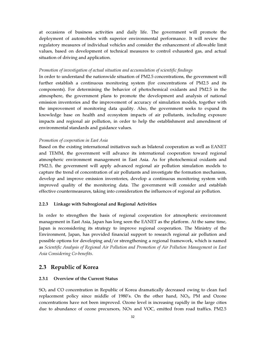at occasions of business activities and daily life. The government will promote the deployment of automobiles with superior environmental performance. It will review the regulatory measures of individual vehicles and consider the enhancement of allowable limit values, based on development of technical measures to control exhausted gas, and actual situation of driving and application.

#### *Promotion of investigation of actual situation and accumulation of scientific findings*

In order to understand the nationwide situation of PM2.5 concentrations, the government will further establish a continuous monitoring system (for concentrations of PM2.5 and its components). For determining the behavior of photochemical oxidants and PM2.5 in the atmosphere, the government plans to promote the development and analysis of national emission inventories and the improvement of accuracy of simulation models, together with the improvement of monitoring data quality. Also, the government seeks to expand its knowledge base on health and ecosystem impacts of air pollutants, including exposure impacts and regional air pollution, in order to help the establishment and amendment of environmental standards and guidance values.

#### *Promotion of cooperation in East Asia*

Based on the existing international initiatives such as bilateral cooperation as well as EANET and TEMM, the government will advance its international cooperation toward regional atmospheric environment management in East Asia. As for photochemical oxidants and PM2.5, the government will apply advanced regional air pollution simulation models to capture the trend of concentration of air pollutants and investigate the formation mechanism, develop and improve emission inventories, develop a continuous monitoring system with improved quality of the monitoring data. The government will consider and establish effective countermeasures, taking into consideration the influences of regional air pollution.

#### 2.2.3 Linkage with Subregional and Regional Activities

In order to strengthen the basis of regional cooperation for atmospheric environment management in East Asia, Japan has long seen the EANET as the platform. At the same time, Japan is reconsidering its strategy to improve regional cooperation. The Ministry of the Environment, Japan, has provided financial support to research regional air pollution and possible options for developing and/or strengthening a regional framework, which is named as *Scientific Analysis of Regional Air Pollution and Promotion of Air Pollution Management in East Asia Considering Co-benefits*.

## 2.3 Republic of Korea

#### 2.3.1 Overview of the Current Status

 $SO<sub>2</sub>$  and CO concentration in Republic of Korea dramatically decreased owing to clean fuel replacement policy since middle of 1980's. On the other hand,  $NO<sub>2</sub>$ , PM and Ozone concentrations have not been improved. Ozone level is increasing rapidly in the large cities due to abundance of ozone precursors, NOx and VOC, emitted from road traffics. PM2.5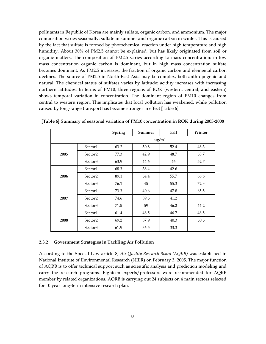pollutants in Republic of Korea are mainly sulfate, organic carbon, and ammonium. The major composition varies seasonally: sulfate in summer and organic carbon in winter. This is caused by the fact that sulfate is formed by photochemical reaction under high temperature and high humidity. About 30% of PM2.5 cannot be explained, but has likely originated from soil or organic matters. The composition of PM2.5 varies according to mass concentration: in low mass concentration organic carbon is dominant, but in high mass concentration sulfate becomes dominant. As PM2.5 increases, the fraction of organic carbon and elemental carbon declines. The source of PM2.5 in North-East Asia may be complex, both anthropogenic and natural. The chemical status of sulfates varies by latitude: acidity increases with increasing northern latitudes. In terms of PM10, three regions of ROK (western, central, and eastern) shows temporal variation in concentration. The dominant region of PM10 changes from central to western region. This implicates that local pollution has weakened, while pollution caused by long-range transport has become stronger in effect [Table 6].

|      |                     | Spring | Summer | Fall              | Winter |
|------|---------------------|--------|--------|-------------------|--------|
|      |                     |        |        | ug/m <sup>3</sup> |        |
|      | Sector1             | 63.2   | 50.8   | 52.4              | 48.3   |
| 2005 | Sector <sub>2</sub> | 77.3   | 42.9   | 48.7              | 58.7   |
|      | Sector3             | 63.9   | 44.6   | 46                | 52.7   |
|      | Sector1             | 68.3   | 38.4   | 42.6              |        |
| 2006 | Sector <sub>2</sub> | 89.1   | 54.4   | 55.7              | 66.6   |
|      | Sector3             | 76.1   | 45     | 55.3              | 72.3   |
|      | Sector1             | 73.3   | 40.6   | 47.8              | 65.5   |
| 2007 | Sector <sub>2</sub> | 74.6   | 39.5   | 41.2              |        |
|      | Sector3             | 71.5   | 59     | 46.2              | 44.2   |
|      | Sector1             | 61.4   | 48.5   | 46.7              | 48.5   |
| 2008 | Sector <sub>2</sub> | 69.2   | 37.9   | 40.3              | 50.5   |
|      | Sector3             | 61.9   | 36.5   | 33.3              |        |

[Table 6] Summary of seasonal variation of PM10 concentration in ROK during 2005-2008

#### 2.3.2 Government Strategies in Tackling Air Pollution

According to the Special Law article 8, *Air Quality Research Board (AQRB)* was established in National Institute of Environmental Research (NIER) on February 3, 2005. The major function of AQRB is to offer technical support such as scientific analysis and prediction modeling and carry the research programs. Eighteen experts/professors were recommended for AQRB member by related organizations. AQRB is carrying out 24 subjects on 4 main sectors selected for 10 year long-term intensive research plan.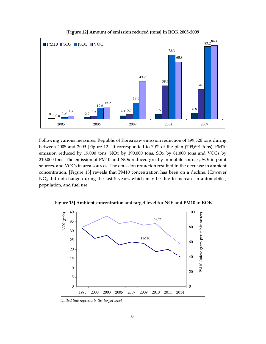

[Figure 12] Amount of emission reduced (tons) in ROK 2005-2009

Following various measures, Republic of Korea saw emission reduction of 499,520 tons during between 2005 and 2009 [Figure 12]. It corresponded to 70% of the plan (709,691 tons): PM10 emission reduced by 19,000 tons, NOx by 190,000 tons, SOx by 81,000 tons and VOCs by 210,000 tons. The emission of PM10 and NOx reduced greatly in mobile sources,  $SO<sub>2</sub>$  in point sources, and VOCs in area sources. The emission reduction resulted in the decrease in ambient concentration. [Figure 13] reveals that PM10 concentration has been on a decline. However NO2 did not change during the last 5 years, which may be due to increase in automobiles, population, and fuel use.



[Figure 13] Ambient concentration and target level for NO<sub>2</sub> and PM10 in ROK

Dotted line represents the target level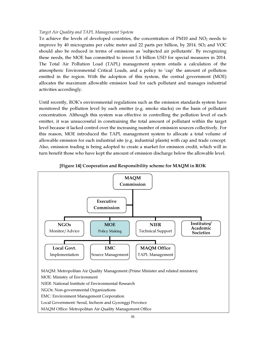#### *Target Air Quality and TAPL Management System*

To achieve the levels of developed countries, the concentration of PM10 and  $NO<sub>2</sub>$  needs to improve by 40 micrograms per cubic meter and 22 parts per billion, by 2014.  $SO<sub>2</sub>$  and VOC should also be reduced in terms of emissions as 'subjected air pollutants'. By recognizing these needs, the MOE has committed to invest 5.4 billion USD for special measures in 2014. The Total Air Pollution Load (TAPL) management system entails a calculation of the atmospheric Environmental Critical Loads, and a policy to 'cap' the amount of pollution emitted in the region. With the adoption of this system, the central government (MOE) allocates the maximum allowable emission load for each pollutant and manages industrial activities accordingly.

Until recently, ROK's environmental regulations such as the emission standards system have monitored the pollution level by each emitter (e.g. smoke stacks) on the basis of pollutant concentration. Although this system was effective in controlling the pollution level of each emitter, it was unsuccessful in constraining the total amount of pollutant within the target level because it lacked control over the increasing number of emission sources collectively. For this reason, MOE introduced the TAPL management system to allocate a total volume of allowable emission for each industrial site (e.g. industrial plants) with cap and trade concept. Also, emission trading is being adopted to create a market for emission credit, which will in turn benefit those who have kept the amount of emission discharge below the allowable level.



[Figure 14] Cooperation and Responsibility scheme for MAQM in ROK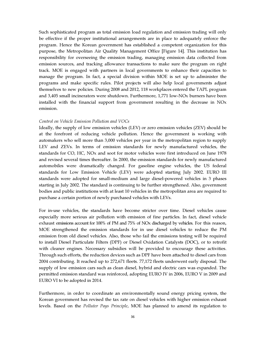Such sophisticated program as total emission load regulation and emission trading will only be effective if the proper institutional arrangements are in place to adequately enforce the program. Hence the Korean government has established a competent organization for this purpose, the Metropolitan Air Quality Management Office [Figure 14]. This institution has responsibility for overseeing the emission trading, managing emission data collected from emission sources, and tracking allowance transactions to make sure the program on right track. MOE is engaged with partners in local governments to enhance their capacities to manage the program. In fact, a special division within MOE is set up to administer the programs and make specific rules. Pilot projects will also help local governments adjust themselves to new policies. During 2008 and 2012, 118 workplaces entered the TAPL program and 3,405 small incinerators were shutdown. Furthermore, 1,771 low-NOx burners have been installed with the financial support from government resulting in the decrease in  $NOx$ emission.

#### *Control on Vehicle Emission Pollution and VOCs*

Ideally, the supply of low emission vehicles (LEV) or zero emission vehicles (ZEV) should be at the forefront of reducing vehicle pollution. Hence the government is working with automakers who sell more than 3,000 vehicles per year in the metropolitan region to supply LEV and ZEVs. In terms of emission standards for newly manufactured vehicles, the standards for CO, HC, NOx and soot for motor vehicles were first introduced on June 1978 and revised several times thereafter. In 2000, the emission standards for newly manufactured automobiles were dramatically changed. For gasoline engine vehicles, the US federal standards for Low Emission Vehicle (LEV) were adopted starting July 2002. EURO III standards were adopted for small-medium and large diesel-powered vehicles in 3 phases starting in July 2002. The standard is continuing to be further strengthened. Also, government bodies and public institutions with at least 10 vehicles in the metropolitan area are required to purchase a certain portion of newly purchased vehicles with LEVs.

For in-use vehicles, the standards have become stricter over time. Diesel vehicles cause especially more serious air pollution with emission of fine particles. In fact, diesel vehicle exhaust emissions account for 100% of PM and 75% of NOx discharged by vehicles. For this reason, MOE strengthened the emission standards for in use diesel vehicles to reduce the PM emission from old diesel vehicles. Also, those who fail the emissions testing will be required to install Diesel Particulate Filters (DPF) or Diesel Oxidation Catalysts (DOC), or to retrofit with cleaner engines. Necessary subsidies will be provided to encourage these activities. Through such efforts, the reduction devices such as DPF have been attached to diesel cars from 2004 contributing. It reached up to 272,671 fleets. 77,172 fleets underwent early disposal. The supply of low emission cars such as clean diesel, hybrid and electric cars was expanded. The permitted emission standard was reinforced, adopting EURO IV in 2006, EURO V in 2009 and EURO VI to be adopted in 2014.

Furthermore, in order to coordinate an environmentally sound energy pricing system, the Korean government has revised the tax rate on diesel vehicles with higher emission exhaust levels. Based on the *Polluter Pays Principle*, MOE has planned to amend its regulation to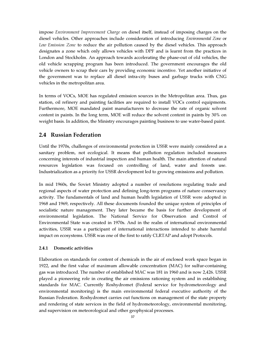impose *Environment Improvement Charge* on diesel itself, instead of imposing charges on the diesel vehicles. Other approaches include consideration of introducing *Environmental Zone* or *Low Emission Zone* to reduce the air pollution caused by the diesel vehicles. This approach designates a zone which only allows vehicles with DPF and is learnt from the practices in London and Stockholm. An approach towards accelerating the phase-out of old vehicles, the old vehicle scrapping program has been introduced. The government encourages the old vehicle owners to scrap their cars by providing economic incentive. Yet another initiative of the government was to replace all diesel intra-city buses and garbage trucks with CNG vehicles in the metropolitan area.

In terms of VOCs, MOE has regulated emission sources in the Metropolitan area. Thus, gas station, oil refinery and painting facilities are required to install VOCs control equipments. Furthermore, MOE mandated paint manufacturers to decrease the rate of organic solvent content in paints. In the long term, MOE will reduce the solvent content in paints by 30% on weight basis. In addition, the Ministry encourages painting business to use water-based paint.

# 2.4 Russian Federation

Until the 1970s, challenges of environmental protection in USSR were mainly considered as a sanitary problem, not ecological. It means that pollution regulation included measures concerning interests of industrial inspection and human health. The main attention of natural resources legislation was focused on controlling of land, water and forests use. Industrialization as a priority for USSR development led to growing emissions and pollution.

In mid 1960s, the Soviet Ministry adopted a number of resolutions regulating trade and regional aspects of water protection and defining long-term programs of nature conservancy activity. The fundamentals of land and human health legislation of USSR were adopted in 1968 and 1969, respectively. All these documents founded the unique system of principles of socialistic nature management. They later became the basis for further development of environmental legislation. The National Service for Observation and Control of Environmental State was created in 1970s. And in the realm of international environmental activities, USSR was a participant of international interactions intended to abate harmful impact on ecosystems. USSR was one of the first to ratify CLRTAP and adopt Protocols.

#### 2.4.1 Domestic activities

Elaboration on standards for content of chemicals in the air of enclosed work space began in 1922, and the first value of maximum allowable concentration (MAC) for sulfur-containing gas was introduced. The number of established MAC was 181 in 1960 and is now 2,426. USSR played a pioneering role in creating the air emissions rationing system and in establishing standards for MAC. Currently Roshydromet (Federal service for hydrometeorology and environmental monitoring) is the main environmental federal executive authority of the Russian Federation. Roshydromet carries out functions on management of the state property and rendering of state services in the field of hydrometeorology, environmental monitoring, and supervision on meteorological and other geophysical processes.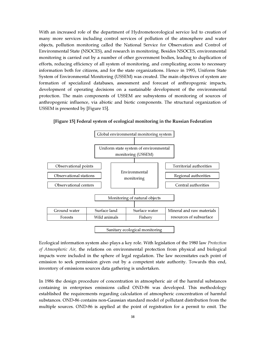With an increased role of the department of Hydrometeorological service led to creation of many more services including control services of pollution of the atmosphere and water objects, pollution monitoring called the National Service for Observation and Control of Environmental State (NSOCES), and research in monitoring. Besides NSOCES, environmental monitoring is carried out by a number of other government bodies, leading to duplication of efforts, reducing efficiency of all system of monitoring, and complicating access to necessary information both for citizens, and for the state organizations. Hence in 1995, Uniform State System of Environmental Monitoring (USSEM) was created. The main objectives of system are formation of specialized databases, assessment and forecast of anthropogenic impacts, development of operating decisions on a sustainable development of the environmental protection. The main components of USSEM are subsystems of monitoring of sources of anthropogenic influence, via abiotic and biotic components. The structural organization of USSEM is presented by [Figure 15].



[Figure 15] Federal system of ecological monitoring in the Russian Federation

Ecological information system also plays a key role. With legislation of the 1980 law *Protection of Atmospheric Air,* the relations on environmental protection from physical and biological impacts were included in the sphere of legal regulation. The law necessitates each point of emission to seek permission given out by a competent state authority. Towards this end, inventory of emissions sources data gathering is undertaken.

In 1986 the design procedure of concentration in atmospheric air of the harmful substances containing in enterprises emissions called OND-86 was developed. This methodology established the requirements regarding calculation of atmospheric concentration of harmful substances. OND-86 contains non-Gaussian standard model of pollutant distribution from the multiple sources. OND-86 is applied at the point of registration for a permit to emit. The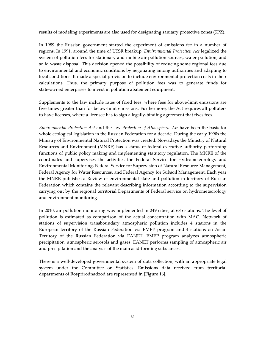results of modeling experiments are also used for designating sanitary protective zones (SPZ).

In 1989 the Russian government started the experiment of emissions fee in a number of regions. In 1991, around the time of USSR breakup, *Environmental Protection Act* legalized the system of pollution fees for stationary and mobile air pollution sources, water pollution, and solid waste disposal. This decision opened the possibility of reducing some regional fees due to environmental and economic conditions by negotiating among authorities and adapting to local conditions. It made a special provision to include environmental protection costs in their calculations. Thus, the primary purpose of pollution fees was to generate funds for state-owned enterprises to invest in pollution abatement equipment.

Supplements to the law include rates of fixed fees, where fees for above-limit emissions are five times greater than for below-limit emissions. Furthermore, the Act requires all polluters to have licenses, where a licensee has to sign a legally-binding agreement that fixes fees.

*Environmental Protection Act* and the law *Protection of Atmospheric Air* have been the basis for whole ecological legislation in the Russian Federation for a decade. During the early 1990s the Ministry of Environmental Natural Protection was created. Nowadays the Ministry of Natural Resources and Environment (MNRE) has a status of federal executive authority performing functions of public policy making and implementing statutory regulation. The MNRE of the coordinates and supervises the activities the Federal Service for Hydrometeorology and Environmental Monitoring, Federal Service for Supervision of Natural Resource Management, Federal Agency for Water Resources, and Federal Agency for Subsoil Management. Each year the MNRE publishes a Review of environmental state and pollution in territory of Russian Federation which contains the relevant describing information according to the supervision carrying out by the regional territorial Departments of Federal service on hydrometeorology and environment monitoring.

In 2010, air pollution monitoring was implemented in 249 cities, at 685 stations. The level of pollution is estimated as comparison of the actual concentration with MAC. Network of stations of supervision transboundary atmospheric pollution includes 4 stations in the European territory of the Russian Federation via EMEP program and 4 stations on Asian Territory of the Russian Federation via EANET. EMEP program analyzes atmospheric precipitation, atmospheric aerosols and gases. EANET performs sampling of atmospheric air and precipitation and the analysis of the main acid-forming substances.

There is a well-developed governmental system of data collection, with an appropriate legal system under the Committee on Statistics. Emissions data received from territorial departments of Rosprirodnadzod are represented in [Figure 16].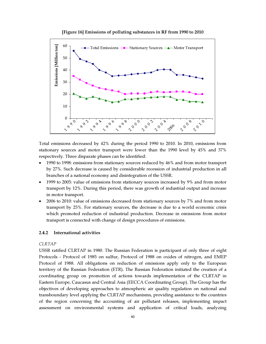



Total emissions decreased by 42% during the period 1990 to 2010. In 2010, emissions from stationary sources and motor transport were lower than the 1990 level by 45% and 37% respectively. Three disparate phases can be identified:

- 1990 to 1998: emissions from stationary sources reduced by 46% and from motor transport by 27%. Such decrease is caused by considerable recession of industrial production in all branches of a national economy and disintegration of the USSR.
- 1999 to 2005: value of emissions from stationary sources increased by 9% and from motor transport by 12%. During this period, there was growth of industrial output and increase in motor transport.
- 2006 to 2010: value of emissions decreased from stationary sources by 7% and from motor transport by 25%. For stationary sources, the decrease is due to a world economic crisis which promoted reduction of industrial production. Decrease in emissions from motor transport is connected with change of design procedures of emissions.

#### 2.4.2 International activities

#### *CLRTAP*

USSR ratified CLRTAP in 1980. The Russian Federation is participant of only three of eight Protocols - Protocol of 1985 on sulfur, Protocol of 1988 on oxides of nitrogen, and EMEP Protocol of 1988. All obligations on reduction of emissions apply only to the European territory of the Russian Federation (ETR). The Russian Federation initiated the creation of a coordinating group on promotion of actions towards implementation of the CLRTAP in Eastern Europe, Caucasus and Central Asia (EECCA Coordinating Group). The Group has the objectives of developing approaches to atmospheric air quality regulation on national and transboundary level applying the CLRTAP mechanisms, providing assistance to the countries of the region concerning the accounting of air pollutant releases, implementing impact assessment on environmental systems and application of critical loads, analyzing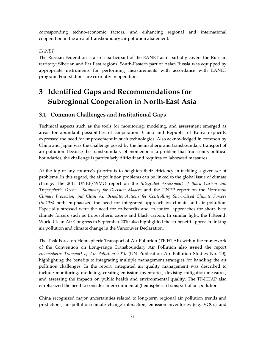corresponding techno-economic factors, and enhancing regional and international cooperation in the area of transboundary air pollution abatement.

#### *EANET*

The Russian Federation is also a participant of the EANET as it partially covers the Russian territory: Siberian and Far East regions. South-Eastern part of Asian Russia was equipped by appropriate instruments for performing measurements with accordance with EANET program. Four stations are currently in operation.

# 3 Identified Gaps and Recommendations for Subregional Cooperation in North-East Asia

# 3.1 Common Challenges and Institutional Gaps

Technical aspects such as the tools for monitoring, modeling, and assessment emerged as areas for abundant possibilities of cooperation. China and Republic of Korea explicitly expressed the need for improvement in such technologies. Also acknowledged in common by China and Japan was the challenge posed by the hemispheric and transboundary transport of air pollution. Because the transboundary phenomenon is a problem that transcends political boundaries, the challenge is particularly difficult and requires collaborated measures.

At the top of any country's priority is to heighten their efficiency in tackling a given set of problems. In this regard, the air pollution problems can be linked to the global issue of climate change. The 2011 UNEP/WMO report on the *Integrated Assessment of Black Carbon and Tropospheric Ozone - Summary for Decision Makers* and the UNEP report on the *Near-term Climate Protection and Clean Air Benefits: Actions for Controlling Short-Lived Climate Forcers (SLCFs)* both emphasized the need for integrated approach on climate and air pollution. Especially stressed were the need for co-benefits and co-control approaches for short-lived climate forcers such as tropospheric ozone and black carbon. In similar light, the Fifteenth World Clean Air Congress in September 2010 also highlighted the co-benefit approach linking air pollution and climate change in the Vancouver Declaration.

The Task Force on Hemispheric Transport of Air Pollution (TF-HTAP) within the framework of the Convention on Long-range Transboundary Air Pollution also issued the report *Hemispheric Transport of Air Pollution 2010* (UN Publication Air Pollution Studies No. 20), highlighting the benefits to integrating multiple management strategies for handling the air pollution challenges. In the report, integrated air quality management was described to include monitoring, modeling, creating emission inventories, devising mitigation measures, and assessing the impacts on public health and environmental quality. The TF-HTAP also emphasized the need to consider inter-continental (hemispheric) transport of air pollution.

China recognized major uncertainties related to long-term regional air pollution trends and predictions, air-pollution-climate change interaction, emission inventories (e.g. VOCs) and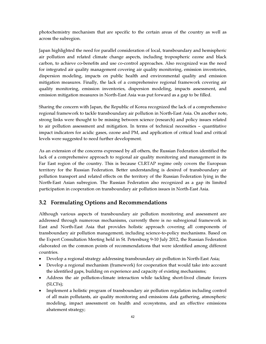photochemistry mechanism that are specific to the certain areas of the country as well as across the subregion.

Japan highlighted the need for parallel consideration of local, transboundary and hemispheric air pollution and related climate change aspects, including tropospheric ozone and black carbon, to achieve co-benefits and use co-control approaches. Also recognized was the need for integrated air quality management covering air quality monitoring, emission inventories, dispersion modeling, impacts on public health and environmental quality and emission mitigation measures. Finally, the lack of a comprehensive regional framework covering air quality monitoring, emission inventories, dispersion modeling, impacts assessment, and emission mitigation measures in North-East Asia was put forward as a gap to be filled.

Sharing the concern with Japan, the Republic of Korea recognized the lack of a comprehensive regional framework to tackle transboundary air pollution in North-East Asia. On another note, strong links were thought to be missing between science (research) and policy issues related to air pollution assessment and mitigation. In terms of technical necessities – quantitative impact indicators for acidic gases, ozone and PM, and application of critical load and critical levels were suggested to need further development.

As an extension of the concerns expressed by all others, the Russian Federation identified the lack of a comprehensive approach to regional air quality monitoring and management in its Far East region of the country. This is because CLRTAP regime only covers the European territory for the Russian Federation. Better understanding is desired of transboundary air pollution transport and related effects on the territory of the Russian Federation lying in the North-East Asian subregion. The Russian Federation also recognized as a gap its limited participation in cooperation on transboundary air pollution issues in North-East Asia.

# 3.2 Formulating Options and Recommendations

Although various aspects of transboundary air pollution monitoring and assessment are addressed through numerous mechanisms, currently there is no subregional framework in East and North-East Asia that provides holistic approach covering all components of transboundary air pollution management, including science-to-policy mechanisms. Based on the Expert Consultation Meeting held in St. Petersburg 9-10 July 2012, the Russian Federation elaborated on the common points of recommendations that were identified among different countries.

- Develop a regional strategy addressing transboundary air pollution in North-East Asia;
- Develop a regional mechanism (framework) for cooperation that would take into account the identified gaps, building on experience and capacity of existing mechanisms;
- Address the air pollution-climate interaction while tackling short-lived climate forcers (SLCFs);
- Implement a holistic program of transboundary air pollution regulation including control of all main pollutants, air quality monitoring and emissions data gathering, atmospheric modeling, impact assessment on health and ecosystems, and an effective emissions abatement strategy;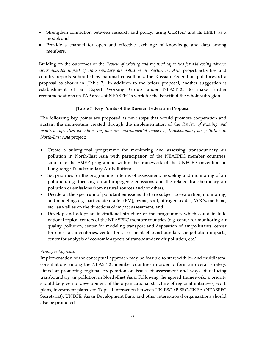- Strengthen connection between research and policy, using CLRTAP and its EMEP as a model; and
- Provide a channel for open and effective exchange of knowledge and data among members.

Building on the outcomes of the *Review of existing and required capacities for addressing adverse environmental impact of transboundary air pollution in North-East Asia* project activities and country reports submitted by national consultants, the Russian Federation put forward a proposal as shown in [Table 7]. In addition to the below proposal, another suggestion is establishment of an Expert Working Group under NEASPEC to make further recommendations on TAP areas of NEASPEC's work for the benefit of the whole subregion.

# [Table 7] Key Points of the Russian Federation Proposal

The following key points are proposed as next steps that would promote cooperation and sustain the momentum created through the implementation of the *Review of existing and required capacities for addressing adverse environmental impact of transboundary air pollution in North-East Asia* project:

- Create a subregional programme for monitoring and assessing transboundary air pollution in North-East Asia with participation of the NEASPEC member countries, similar to the EMEP programme within the framework of the UNECE Convention on Long-range Transboundary Air Pollution;
- Set priorities for the programme in terms of assessment, modeling and monitoring of air pollution, e.g. focusing on anthropogenic emissions and the related transboundary air pollution or emissions from natural sources and/or others;
- Decide on the spectrum of pollutant emissions that are subject to evaluation, monitoring, and modeling, e.g. particulate matter (PM), ozone, soot, nitrogen oxides, VOCs, methane, etc., as well as on the directions of impact assessment; and
- Develop and adopt an institutional structure of the programme, which could include national topical centers of the NEASPEC member countries (e.g. center for monitoring air quality pollution, center for modeling transport and deposition of air pollutants, center for emission inventories, center for assessment of transboundary air pollution impacts, center for analysis of economic aspects of transboundary air pollution, etc.).

# *Strategic Approach*

Implementation of the conceptual approach may be feasible to start with bi- and multilateral consultations among the NEASPEC member countries in order to form an overall strategy aimed at promoting regional cooperation on issues of assessment and ways of reducing transboundary air pollution in North-East Asia. Following the agreed framework, a priority should be given to development of the organizational structure of regional initiatives, work plans, investment plans, etc. Topical interaction between UN ESCAP SRO-ENEA (NEASPEC Secretariat), UNECE, Asian Development Bank and other international organizations should also be promoted.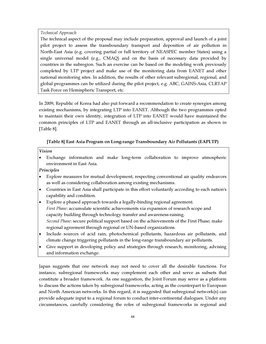## *Technical Approach*

The technical aspect of the proposal may include preparation, approval and launch of a joint pilot project to assess the transboundary transport and deposition of air pollution in North-East Asia (e.g. covering partial or full territory of NEASPEC member States) using a single universal model (e.g.,  $CMAQ$ ) and on the basis of necessary data provided by countries in the subregion. Such an exercise can be based on the modeling work previously completed by LTP project and make use of the monitoring data from EANET and other national monitoring sites. In addition, the results of other relevant subregional, regional, and global programmes can be utilized during the pilot project, e.g. ABC, GAINS-Asia, CLRTAP Task Force on Hemispheric Transport, etc.

In 2009, Republic of Korea had also put forward a recommendation to create synergies among existing mechanisms, by integrating LTP into EANET. Although the two programmes opted to maintain their own identity, integration of LTP into EANET would have maintained the common principles of LTP and EANET through an all-inclusive participation as shown in [Table 8].

# [Table 8] East Asia Program on Long-range Transboundary Air Pollutants (EAPLTP)

Vision

• Exchange information and make long-term collaboration to improve atmospheric environment in East Asia.

## Principles

- Explore measures for mutual development, respecting conventional air quality endeavors as well as considering collaboration among existing mechanisms.
- Countries in East Asia shall participate in this effort voluntarily according to each nation's capability and condition.
- Explore a phased approach towards a legally-binding regional agreement. *First Phase*: accumulate scientific achievements via expansion of research scope and capacity building through technology transfer and awareness-raising. *Second Phase*: secure political support based on the achievements of the First Phase; make regional agreement through regional or UN-based organizations.
- Include sources of acid rain, photochemical pollutants, hazardous air pollutants, and climate change triggering pollutants in the long-range transboundary air pollutants.
- Give support in developing policy and strategies through research, monitoring, advising and information exchange.

Japan suggests that one network may not need to cover all the desirable functions. For instance, subregional frameworks may complement each other and serve as subsets that constitute a broader framework. As one suggestion, the Joint Forum may serve as a platform to discuss the actions taken by subregional frameworks, acting as the counterpart to European and North American networks. In this regard, it is suggested that subregional network(s) can provide adequate input to a regional forum to conduct inter-continental dialogues. Under any circumstances, carefully considering the roles of subregional frameworks in regional and